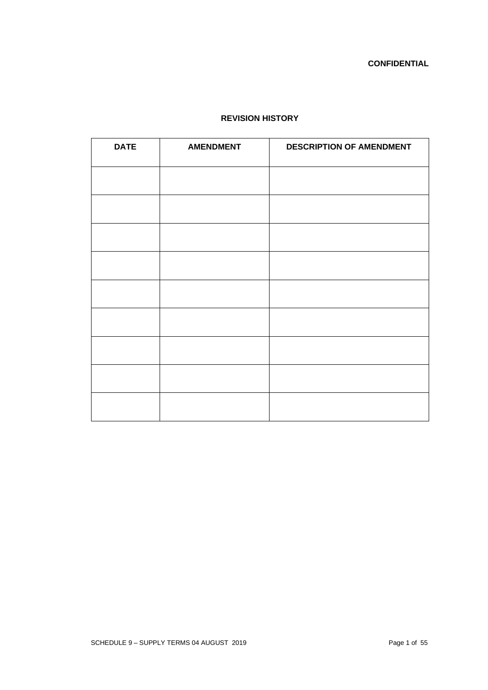# **REVISION HISTORY**

| <b>DATE</b> | <b>AMENDMENT</b> | <b>DESCRIPTION OF AMENDMENT</b> |  |
|-------------|------------------|---------------------------------|--|
|             |                  |                                 |  |
|             |                  |                                 |  |
|             |                  |                                 |  |
|             |                  |                                 |  |
|             |                  |                                 |  |
|             |                  |                                 |  |
|             |                  |                                 |  |
|             |                  |                                 |  |
|             |                  |                                 |  |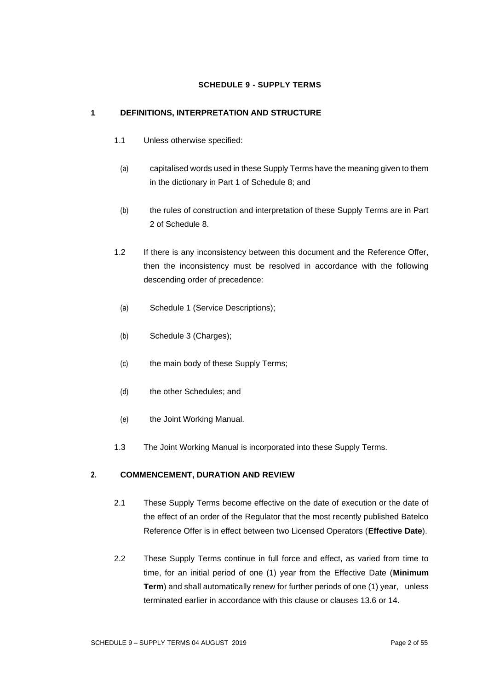## **SCHEDULE 9 - SUPPLY TERMS**

## **1 DEFINITIONS, INTERPRETATION AND STRUCTURE**

- 1.1 Unless otherwise specified:
- (a) capitalised words used in these Supply Terms have the meaning given to them in the dictionary in Part 1 of Schedule 8; and
- (b) the rules of construction and interpretation of these Supply Terms are in Part 2 of Schedule 8.
- 1.2 If there is any inconsistency between this document and the Reference Offer, then the inconsistency must be resolved in accordance with the following descending order of precedence:
	- (a) Schedule 1 (Service Descriptions);
	- (b) Schedule 3 (Charges);
	- (c) the main body of these Supply Terms;
	- (d) the other Schedules; and
	- (e) the Joint Working Manual.
- 1.3 The Joint Working Manual is incorporated into these Supply Terms.

## **2. COMMENCEMENT, DURATION AND REVIEW**

- 2.1 These Supply Terms become effective on the date of execution or the date of the effect of an order of the Regulator that the most recently published Batelco Reference Offer is in effect between two Licensed Operators (**Effective Date**).
- 2.2 These Supply Terms continue in full force and effect, as varied from time to time, for an initial period of one (1) year from the Effective Date (**Minimum Term**) and shall automatically renew for further periods of one (1) year, unless terminated earlier in accordance with this clause or clauses [13.6](#page-20-0) o[r 14.](#page-20-1)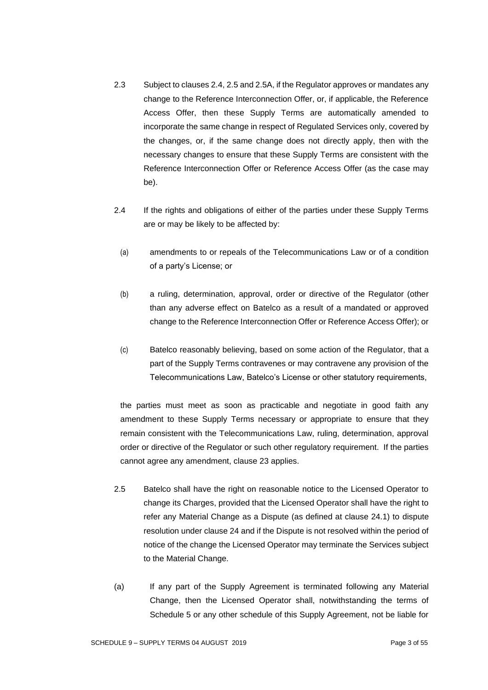- 2.3 Subject to clauses 2.4, 2.5 and 2.5A, if the Regulator approves or mandates any change to the Reference Interconnection Offer, or, if applicable, the Reference Access Offer, then these Supply Terms are automatically amended to incorporate the same change in respect of Regulated Services only, covered by the changes, or, if the same change does not directly apply, then with the necessary changes to ensure that these Supply Terms are consistent with the Reference Interconnection Offer or Reference Access Offer (as the case may be).
- 2.4 If the rights and obligations of either of the parties under these Supply Terms are or may be likely to be affected by:
	- (a) amendments to or repeals of the Telecommunications Law or of a condition of a party's License; or
	- (b) a ruling, determination, approval, order or directive of the Regulator (other than any adverse effect on Batelco as a result of a mandated or approved change to the Reference Interconnection Offer or Reference Access Offer); or
	- (c) Batelco reasonably believing, based on some action of the Regulator, that a part of the Supply Terms contravenes or may contravene any provision of the Telecommunications Law, Batelco's License or other statutory requirements,

the parties must meet as soon as practicable and negotiate in good faith any amendment to these Supply Terms necessary or appropriate to ensure that they remain consistent with the Telecommunications Law, ruling, determination, approval order or directive of the Regulator or such other regulatory requirement. If the parties cannot agree any amendment, clause 23 applies.

- 2.5 Batelco shall have the right on reasonable notice to the Licensed Operator to change its Charges, provided that the Licensed Operator shall have the right to refer any Material Change as a Dispute (as defined at clause 24.1) to dispute resolution under clause 24 and if the Dispute is not resolved within the period of notice of the change the Licensed Operator may terminate the Services subject to the Material Change.
- (a) If any part of the Supply Agreement is terminated following any Material Change, then the Licensed Operator shall, notwithstanding the terms of Schedule 5 or any other schedule of this Supply Agreement, not be liable for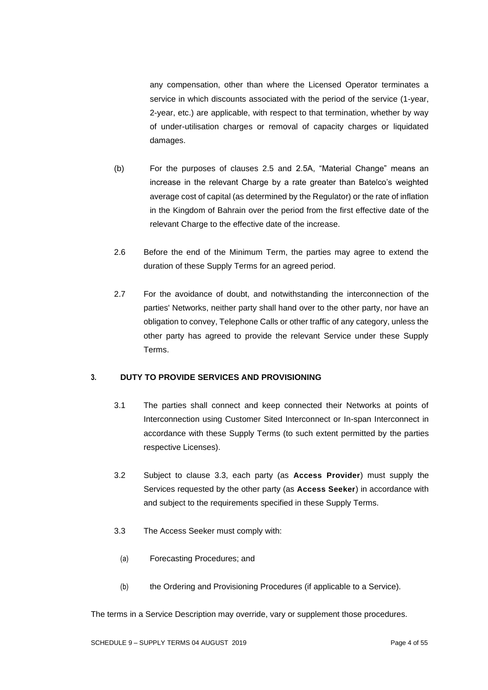any compensation, other than where the Licensed Operator terminates a service in which discounts associated with the period of the service (1-year, 2-year, etc.) are applicable, with respect to that termination, whether by way of under-utilisation charges or removal of capacity charges or liquidated damages.

- (b) For the purposes of clauses 2.5 and 2.5A, "Material Change" means an increase in the relevant Charge by a rate greater than Batelco's weighted average cost of capital (as determined by the Regulator) or the rate of inflation in the Kingdom of Bahrain over the period from the first effective date of the relevant Charge to the effective date of the increase.
- 2.6 Before the end of the Minimum Term, the parties may agree to extend the duration of these Supply Terms for an agreed period.
- 2.7 For the avoidance of doubt, and notwithstanding the interconnection of the parties' Networks, neither party shall hand over to the other party, nor have an obligation to convey, Telephone Calls or other traffic of any category, unless the other party has agreed to provide the relevant Service under these Supply Terms.

## **3. DUTY TO PROVIDE SERVICES AND PROVISIONING**

- 3.1 The parties shall connect and keep connected their Networks at points of Interconnection using Customer Sited Interconnect or In-span Interconnect in accordance with these Supply Terms (to such extent permitted by the parties respective Licenses).
- 3.2 Subject to clause 3.3, each party (as **Access Provider**) must supply the Services requested by the other party (as **Access Seeker**) in accordance with and subject to the requirements specified in these Supply Terms.
- 3.3 The Access Seeker must comply with:
	- (a) Forecasting Procedures; and
	- (b) the Ordering and Provisioning Procedures (if applicable to a Service).

The terms in a Service Description may override, vary or supplement those procedures.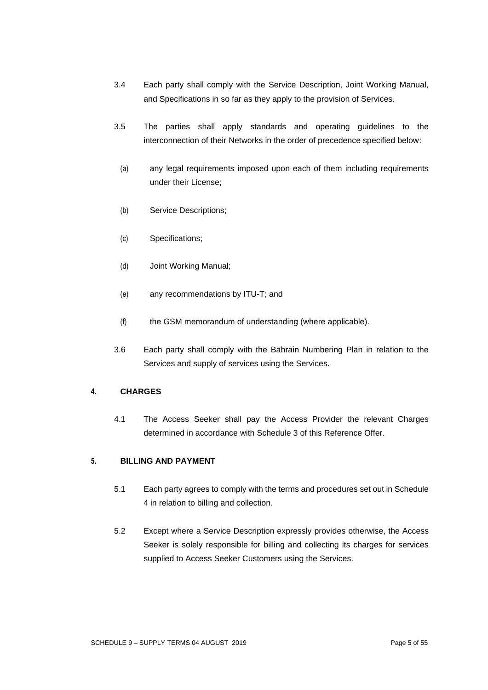- 3.4 Each party shall comply with the Service Description, Joint Working Manual, and Specifications in so far as they apply to the provision of Services.
- 3.5 The parties shall apply standards and operating guidelines to the interconnection of their Networks in the order of precedence specified below:
- (a) any legal requirements imposed upon each of them including requirements under their License;
- (b) Service Descriptions;
- (c) Specifications;
- (d) Joint Working Manual;
- (e) any recommendations by ITU-T; and
- (f) the GSM memorandum of understanding (where applicable).
- 3.6 Each party shall comply with the Bahrain Numbering Plan in relation to the Services and supply of services using the Services.

## **4. CHARGES**

4.1 The Access Seeker shall pay the Access Provider the relevant Charges determined in accordance with Schedule 3 of this Reference Offer.

## **5. BILLING AND PAYMENT**

- 5.1 Each party agrees to comply with the terms and procedures set out in Schedule 4 in relation to billing and collection.
- 5.2 Except where a Service Description expressly provides otherwise, the Access Seeker is solely responsible for billing and collecting its charges for services supplied to Access Seeker Customers using the Services.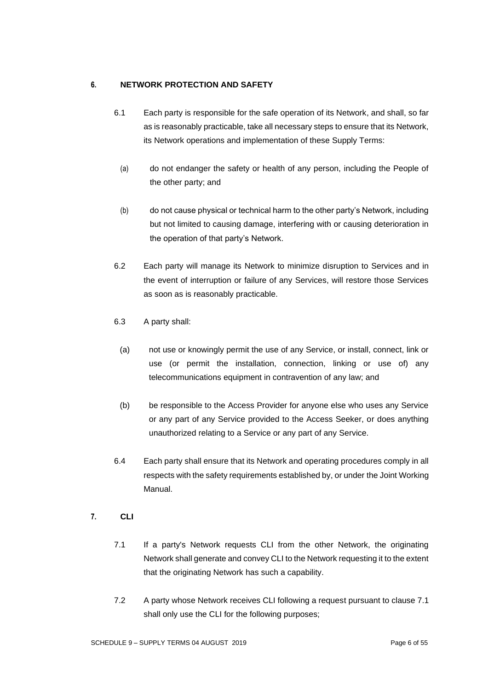# **6. NETWORK PROTECTION AND SAFETY**

- 6.1 Each party is responsible for the safe operation of its Network, and shall, so far as is reasonably practicable, take all necessary steps to ensure that its Network, its Network operations and implementation of these Supply Terms:
	- (a) do not endanger the safety or health of any person, including the People of the other party; and
	- (b) do not cause physical or technical harm to the other party's Network, including but not limited to causing damage, interfering with or causing deterioration in the operation of that party's Network.
- 6.2 Each party will manage its Network to minimize disruption to Services and in the event of interruption or failure of any Services, will restore those Services as soon as is reasonably practicable.
- 6.3 A party shall:
	- (a) not use or knowingly permit the use of any Service, or install, connect, link or use (or permit the installation, connection, linking or use of) any telecommunications equipment in contravention of any law; and
	- (b) be responsible to the Access Provider for anyone else who uses any Service or any part of any Service provided to the Access Seeker, or does anything unauthorized relating to a Service or any part of any Service.
- 6.4 Each party shall ensure that its Network and operating procedures comply in all respects with the safety requirements established by, or under the Joint Working Manual.
- **7. CLI**
	- 7.1 If a party's Network requests CLI from the other Network, the originating Network shall generate and convey CLI to the Network requesting it to the extent that the originating Network has such a capability.
	- 7.2 A party whose Network receives CLI following a request pursuant to clause 7.1 shall only use the CLI for the following purposes;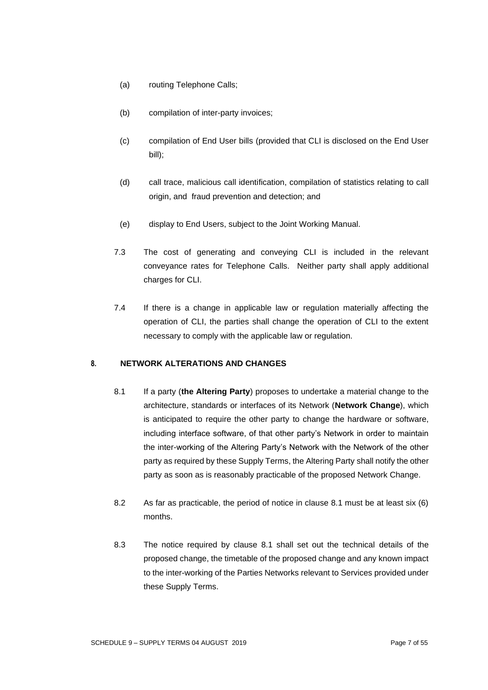- (a) routing Telephone Calls;
- (b) compilation of inter-party invoices;
- (c) compilation of End User bills (provided that CLI is disclosed on the End User bill);
- (d) call trace, malicious call identification, compilation of statistics relating to call origin, and fraud prevention and detection; and
- (e) display to End Users, subject to the Joint Working Manual.
- 7.3 The cost of generating and conveying CLI is included in the relevant conveyance rates for Telephone Calls. Neither party shall apply additional charges for CLI.
- 7.4 If there is a change in applicable law or regulation materially affecting the operation of CLI, the parties shall change the operation of CLI to the extent necessary to comply with the applicable law or regulation.

# **8. NETWORK ALTERATIONS AND CHANGES**

- 8.1 If a party (**the Altering Party**) proposes to undertake a material change to the architecture, standards or interfaces of its Network (**Network Change**), which is anticipated to require the other party to change the hardware or software, including interface software, of that other party's Network in order to maintain the inter-working of the Altering Party's Network with the Network of the other party as required by these Supply Terms, the Altering Party shall notify the other party as soon as is reasonably practicable of the proposed Network Change.
- 8.2 As far as practicable, the period of notice in clause 8.1 must be at least six (6) months.
- 8.3 The notice required by clause 8.1 shall set out the technical details of the proposed change, the timetable of the proposed change and any known impact to the inter-working of the Parties Networks relevant to Services provided under these Supply Terms.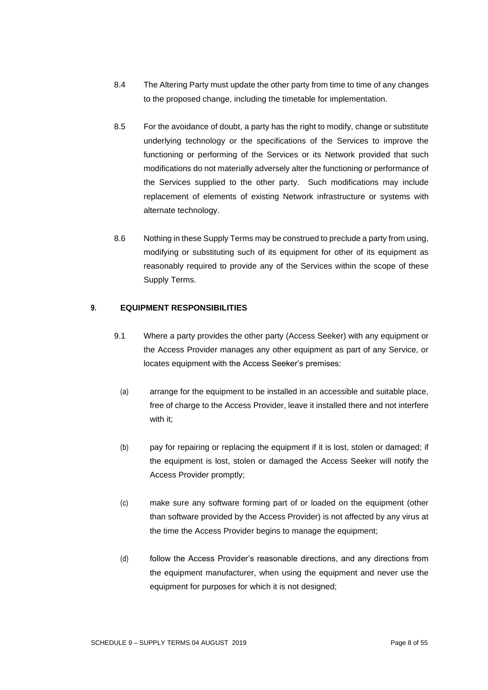- 8.4 The Altering Party must update the other party from time to time of any changes to the proposed change, including the timetable for implementation.
- 8.5 For the avoidance of doubt, a party has the right to modify, change or substitute underlying technology or the specifications of the Services to improve the functioning or performing of the Services or its Network provided that such modifications do not materially adversely alter the functioning or performance of the Services supplied to the other party. Such modifications may include replacement of elements of existing Network infrastructure or systems with alternate technology.
- 8.6 Nothing in these Supply Terms may be construed to preclude a party from using, modifying or substituting such of its equipment for other of its equipment as reasonably required to provide any of the Services within the scope of these Supply Terms.

## **9. EQUIPMENT RESPONSIBILITIES**

- 9.1 Where a party provides the other party (Access Seeker) with any equipment or the Access Provider manages any other equipment as part of any Service, or locates equipment with the Access Seeker's premises:
	- (a) arrange for the equipment to be installed in an accessible and suitable place, free of charge to the Access Provider, leave it installed there and not interfere with it;
	- (b) pay for repairing or replacing the equipment if it is lost, stolen or damaged; if the equipment is lost, stolen or damaged the Access Seeker will notify the Access Provider promptly;
	- (c) make sure any software forming part of or loaded on the equipment (other than software provided by the Access Provider) is not affected by any virus at the time the Access Provider begins to manage the equipment;
- (d) follow the Access Provider's reasonable directions, and any directions from the equipment manufacturer, when using the equipment and never use the equipment for purposes for which it is not designed;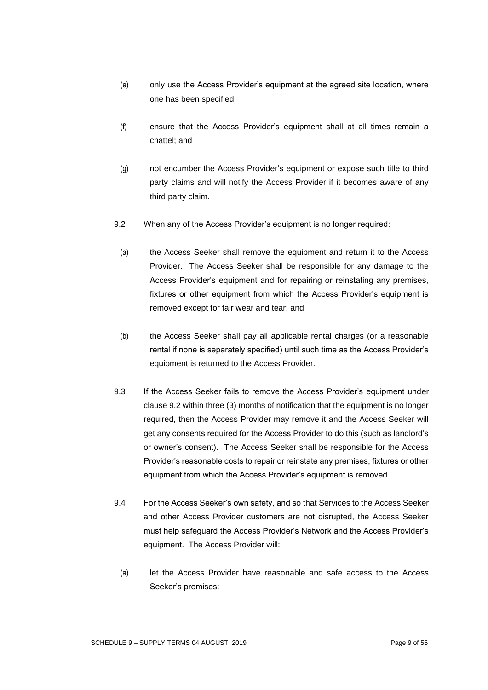- (e) only use the Access Provider's equipment at the agreed site location, where one has been specified;
- (f) ensure that the Access Provider's equipment shall at all times remain a chattel; and
- (g) not encumber the Access Provider's equipment or expose such title to third party claims and will notify the Access Provider if it becomes aware of any third party claim.
- 9.2 When any of the Access Provider's equipment is no longer required:
	- (a) the Access Seeker shall remove the equipment and return it to the Access Provider. The Access Seeker shall be responsible for any damage to the Access Provider's equipment and for repairing or reinstating any premises, fixtures or other equipment from which the Access Provider's equipment is removed except for fair wear and tear; and
	- (b) the Access Seeker shall pay all applicable rental charges (or a reasonable rental if none is separately specified) until such time as the Access Provider's equipment is returned to the Access Provider.
- 9.3 If the Access Seeker fails to remove the Access Provider's equipment under clause 9.2 within three (3) months of notification that the equipment is no longer required, then the Access Provider may remove it and the Access Seeker will get any consents required for the Access Provider to do this (such as landlord's or owner's consent). The Access Seeker shall be responsible for the Access Provider's reasonable costs to repair or reinstate any premises, fixtures or other equipment from which the Access Provider's equipment is removed.
- 9.4 For the Access Seeker's own safety, and so that Services to the Access Seeker and other Access Provider customers are not disrupted, the Access Seeker must help safeguard the Access Provider's Network and the Access Provider's equipment. The Access Provider will:
	- (a) let the Access Provider have reasonable and safe access to the Access Seeker's premises: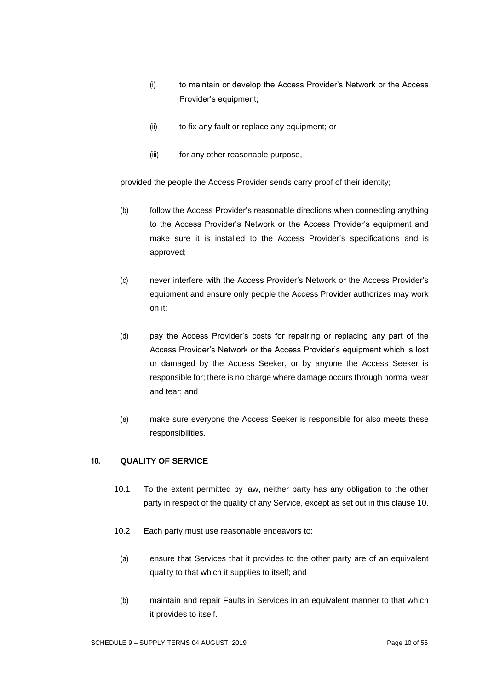- (i) to maintain or develop the Access Provider's Network or the Access Provider's equipment;
- (ii) to fix any fault or replace any equipment; or
- (iii) for any other reasonable purpose,

provided the people the Access Provider sends carry proof of their identity;

- (b) follow the Access Provider's reasonable directions when connecting anything to the Access Provider's Network or the Access Provider's equipment and make sure it is installed to the Access Provider's specifications and is approved;
- (c) never interfere with the Access Provider's Network or the Access Provider's equipment and ensure only people the Access Provider authorizes may work on it;
- (d) pay the Access Provider's costs for repairing or replacing any part of the Access Provider's Network or the Access Provider's equipment which is lost or damaged by the Access Seeker, or by anyone the Access Seeker is responsible for; there is no charge where damage occurs through normal wear and tear; and
- (e) make sure everyone the Access Seeker is responsible for also meets these responsibilities.

## **10. QUALITY OF SERVICE**

- 10.1 To the extent permitted by law, neither party has any obligation to the other party in respect of the quality of any Service, except as set out in this clause 10.
- 10.2 Each party must use reasonable endeavors to:
	- (a) ensure that Services that it provides to the other party are of an equivalent quality to that which it supplies to itself; and
- (b) maintain and repair Faults in Services in an equivalent manner to that which it provides to itself.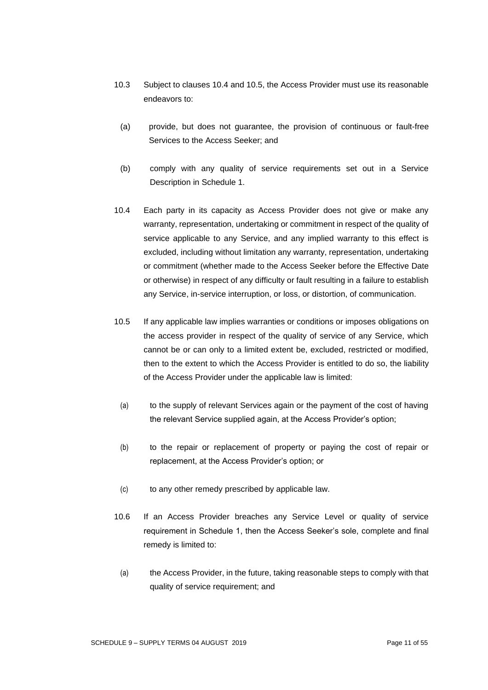- 10.3 Subject to clauses 10.4 and 10.5, the Access Provider must use its reasonable endeavors to:
	- (a) provide, but does not guarantee, the provision of continuous or fault-free Services to the Access Seeker; and
	- (b) comply with any quality of service requirements set out in a Service Description in Schedule 1.
- 10.4 Each party in its capacity as Access Provider does not give or make any warranty, representation, undertaking or commitment in respect of the quality of service applicable to any Service, and any implied warranty to this effect is excluded, including without limitation any warranty, representation, undertaking or commitment (whether made to the Access Seeker before the Effective Date or otherwise) in respect of any difficulty or fault resulting in a failure to establish any Service, in-service interruption, or loss, or distortion, of communication.
- 10.5 If any applicable law implies warranties or conditions or imposes obligations on the access provider in respect of the quality of service of any Service, which cannot be or can only to a limited extent be, excluded, restricted or modified, then to the extent to which the Access Provider is entitled to do so, the liability of the Access Provider under the applicable law is limited:
	- (a) to the supply of relevant Services again or the payment of the cost of having the relevant Service supplied again, at the Access Provider's option;
	- (b) to the repair or replacement of property or paying the cost of repair or replacement, at the Access Provider's option; or
	- (c) to any other remedy prescribed by applicable law.
- 10.6 If an Access Provider breaches any Service Level or quality of service requirement in Schedule 1, then the Access Seeker's sole, complete and final remedy is limited to:
- (a) the Access Provider, in the future, taking reasonable steps to comply with that quality of service requirement; and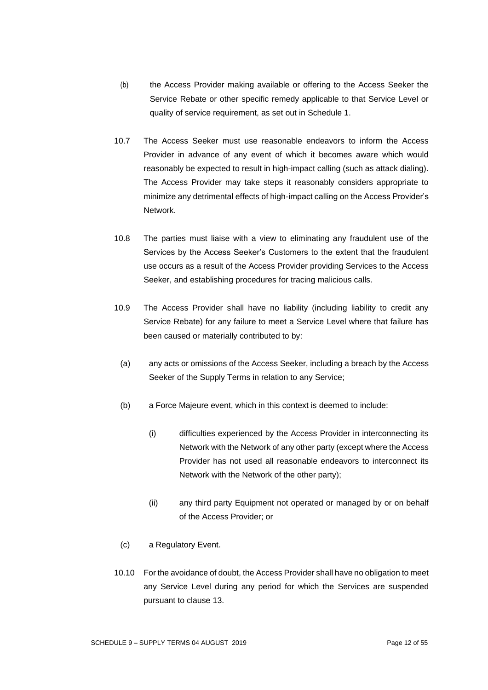- (b) the Access Provider making available or offering to the Access Seeker the Service Rebate or other specific remedy applicable to that Service Level or quality of service requirement, as set out in Schedule 1.
- 10.7 The Access Seeker must use reasonable endeavors to inform the Access Provider in advance of any event of which it becomes aware which would reasonably be expected to result in high-impact calling (such as attack dialing). The Access Provider may take steps it reasonably considers appropriate to minimize any detrimental effects of high-impact calling on the Access Provider's Network.
- 10.8 The parties must liaise with a view to eliminating any fraudulent use of the Services by the Access Seeker's Customers to the extent that the fraudulent use occurs as a result of the Access Provider providing Services to the Access Seeker, and establishing procedures for tracing malicious calls.
- 10.9 The Access Provider shall have no liability (including liability to credit any Service Rebate) for any failure to meet a Service Level where that failure has been caused or materially contributed to by:
	- (a) any acts or omissions of the Access Seeker, including a breach by the Access Seeker of the Supply Terms in relation to any Service;
	- (b) a Force Majeure event, which in this context is deemed to include:
		- (i) difficulties experienced by the Access Provider in interconnecting its Network with the Network of any other party (except where the Access Provider has not used all reasonable endeavors to interconnect its Network with the Network of the other party);
		- (ii) any third party Equipment not operated or managed by or on behalf of the Access Provider; or
- (c) a Regulatory Event.
- 10.10 For the avoidance of doubt, the Access Provider shall have no obligation to meet any Service Level during any period for which the Services are suspended pursuant to clause 13.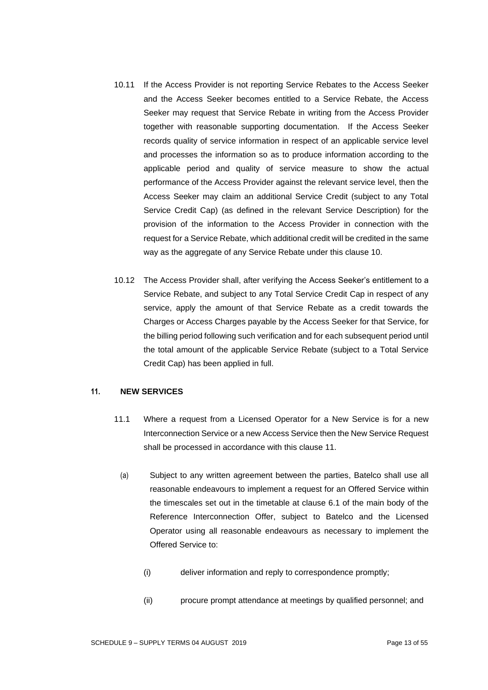- 10.11 If the Access Provider is not reporting Service Rebates to the Access Seeker and the Access Seeker becomes entitled to a Service Rebate, the Access Seeker may request that Service Rebate in writing from the Access Provider together with reasonable supporting documentation. If the Access Seeker records quality of service information in respect of an applicable service level and processes the information so as to produce information according to the applicable period and quality of service measure to show the actual performance of the Access Provider against the relevant service level, then the Access Seeker may claim an additional Service Credit (subject to any Total Service Credit Cap) (as defined in the relevant Service Description) for the provision of the information to the Access Provider in connection with the request for a Service Rebate, which additional credit will be credited in the same way as the aggregate of any Service Rebate under this clause 10.
- 10.12 The Access Provider shall, after verifying the Access Seeker's entitlement to a Service Rebate, and subject to any Total Service Credit Cap in respect of any service, apply the amount of that Service Rebate as a credit towards the Charges or Access Charges payable by the Access Seeker for that Service, for the billing period following such verification and for each subsequent period until the total amount of the applicable Service Rebate (subject to a Total Service Credit Cap) has been applied in full.

## **11. NEW SERVICES**

- 11.1 Where a request from a Licensed Operator for a New Service is for a new Interconnection Service or a new Access Service then the New Service Request shall be processed in accordance with this clause 11.
	- (a) Subject to any written agreement between the parties, Batelco shall use all reasonable endeavours to implement a request for an Offered Service within the timescales set out in the timetable at clause 6.1 of the main body of the Reference Interconnection Offer, subject to Batelco and the Licensed Operator using all reasonable endeavours as necessary to implement the Offered Service to:
		- (i) deliver information and reply to correspondence promptly;
		- (ii) procure prompt attendance at meetings by qualified personnel; and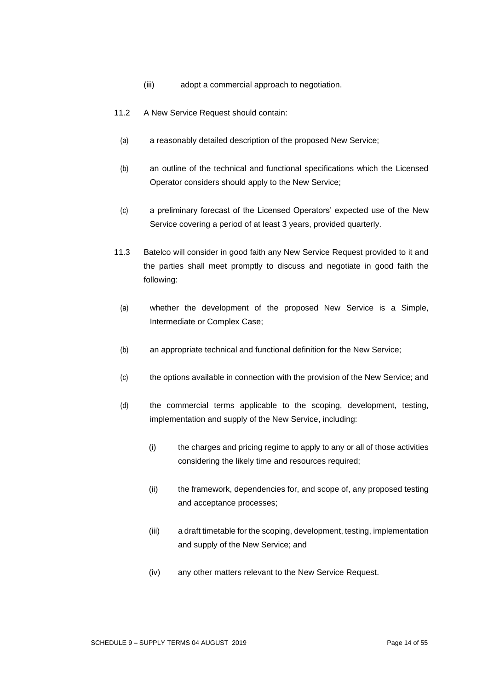- (iii) adopt a commercial approach to negotiation.
- 11.2 A New Service Request should contain:
	- (a) a reasonably detailed description of the proposed New Service;
	- (b) an outline of the technical and functional specifications which the Licensed Operator considers should apply to the New Service;
	- (c) a preliminary forecast of the Licensed Operators' expected use of the New Service covering a period of at least 3 years, provided quarterly.
- 11.3 Batelco will consider in good faith any New Service Request provided to it and the parties shall meet promptly to discuss and negotiate in good faith the following:
	- (a) whether the development of the proposed New Service is a Simple, Intermediate or Complex Case;
	- (b) an appropriate technical and functional definition for the New Service;
	- (c) the options available in connection with the provision of the New Service; and
	- (d) the commercial terms applicable to the scoping, development, testing, implementation and supply of the New Service, including:
		- (i) the charges and pricing regime to apply to any or all of those activities considering the likely time and resources required;
		- (ii) the framework, dependencies for, and scope of, any proposed testing and acceptance processes;
		- (iii) a draft timetable for the scoping, development, testing, implementation and supply of the New Service; and
		- (iv) any other matters relevant to the New Service Request.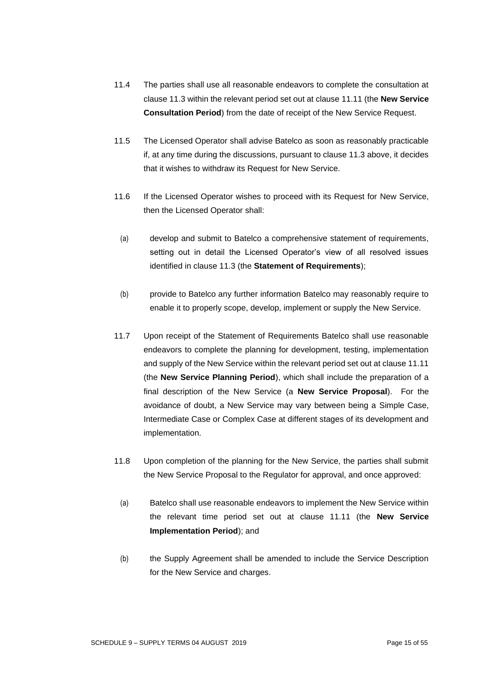- 11.4 The parties shall use all reasonable endeavors to complete the consultation at clause 11.3 within the relevant period set out at clause 11.11 (the **New Service Consultation Period**) from the date of receipt of the New Service Request.
- 11.5 The Licensed Operator shall advise Batelco as soon as reasonably practicable if, at any time during the discussions, pursuant to clause 11.3 above, it decides that it wishes to withdraw its Request for New Service.
- 11.6 If the Licensed Operator wishes to proceed with its Request for New Service, then the Licensed Operator shall:
	- (a) develop and submit to Batelco a comprehensive statement of requirements, setting out in detail the Licensed Operator's view of all resolved issues identified in clause 11.3 (the **Statement of Requirements**);
- (b) provide to Batelco any further information Batelco may reasonably require to enable it to properly scope, develop, implement or supply the New Service.
- 11.7 Upon receipt of the Statement of Requirements Batelco shall use reasonable endeavors to complete the planning for development, testing, implementation and supply of the New Service within the relevant period set out at clause 11.11 (the **New Service Planning Period**), which shall include the preparation of a final description of the New Service (a **New Service Proposal**). For the avoidance of doubt, a New Service may vary between being a Simple Case, Intermediate Case or Complex Case at different stages of its development and implementation.
- 11.8 Upon completion of the planning for the New Service, the parties shall submit the New Service Proposal to the Regulator for approval, and once approved:
	- (a) Batelco shall use reasonable endeavors to implement the New Service within the relevant time period set out at clause 11.11 (the **New Service Implementation Period**); and
- (b) the Supply Agreement shall be amended to include the Service Description for the New Service and charges.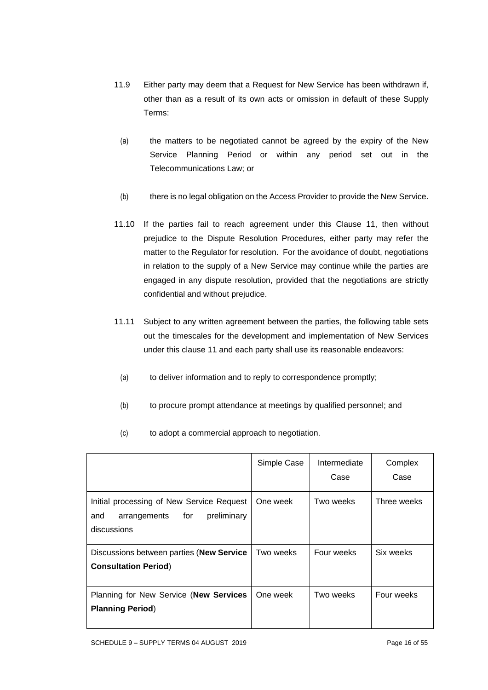- 11.9 Either party may deem that a Request for New Service has been withdrawn if, other than as a result of its own acts or omission in default of these Supply Terms:
- (a) the matters to be negotiated cannot be agreed by the expiry of the New Service Planning Period or within any period set out in the Telecommunications Law; or
- (b) there is no legal obligation on the Access Provider to provide the New Service.
- 11.10 If the parties fail to reach agreement under this Clause 11, then without prejudice to the Dispute Resolution Procedures, either party may refer the matter to the Regulator for resolution. For the avoidance of doubt, negotiations in relation to the supply of a New Service may continue while the parties are engaged in any dispute resolution, provided that the negotiations are strictly confidential and without prejudice.
- 11.11 Subject to any written agreement between the parties, the following table sets out the timescales for the development and implementation of New Services under this clause 11 and each party shall use its reasonable endeavors:
	- (a) to deliver information and to reply to correspondence promptly;
	- (b) to procure prompt attendance at meetings by qualified personnel; and

|                                                                                                       | Simple Case | Intermediate | Complex     |
|-------------------------------------------------------------------------------------------------------|-------------|--------------|-------------|
|                                                                                                       |             | Case         | Case        |
| Initial processing of New Service Request<br>preliminary<br>arrangements<br>for<br>and<br>discussions | One week    | Two weeks    | Three weeks |
| Discussions between parties (New Service                                                              | Two weeks   | Four weeks   | Six weeks   |
| <b>Consultation Period)</b>                                                                           |             |              |             |
| Planning for New Service (New Services<br><b>Planning Period)</b>                                     | One week    | Two weeks    | Four weeks  |
|                                                                                                       |             |              |             |

(c) to adopt a commercial approach to negotiation.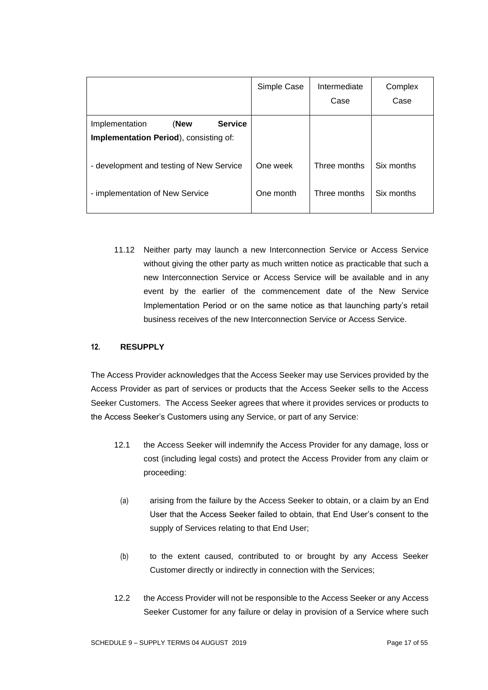|                                                | Simple Case | Intermediate<br>Case | Complex<br>Case |
|------------------------------------------------|-------------|----------------------|-----------------|
| <b>Service</b><br>(New<br>Implementation       |             |                      |                 |
| <b>Implementation Period</b> ), consisting of: |             |                      |                 |
| - development and testing of New Service       | One week    | Three months         | Six months      |
| - implementation of New Service                | One month   | Three months         | Six months      |

11.12 Neither party may launch a new Interconnection Service or Access Service without giving the other party as much written notice as practicable that such a new Interconnection Service or Access Service will be available and in any event by the earlier of the commencement date of the New Service Implementation Period or on the same notice as that launching party's retail business receives of the new Interconnection Service or Access Service.

# **12. RESUPPLY**

The Access Provider acknowledges that the Access Seeker may use Services provided by the Access Provider as part of services or products that the Access Seeker sells to the Access Seeker Customers. The Access Seeker agrees that where it provides services or products to the Access Seeker's Customers using any Service, or part of any Service:

- 12.1 the Access Seeker will indemnify the Access Provider for any damage, loss or cost (including legal costs) and protect the Access Provider from any claim or proceeding:
	- (a) arising from the failure by the Access Seeker to obtain, or a claim by an End User that the Access Seeker failed to obtain, that End User's consent to the supply of Services relating to that End User;
	- (b) to the extent caused, contributed to or brought by any Access Seeker Customer directly or indirectly in connection with the Services;
- 12.2 the Access Provider will not be responsible to the Access Seeker or any Access Seeker Customer for any failure or delay in provision of a Service where such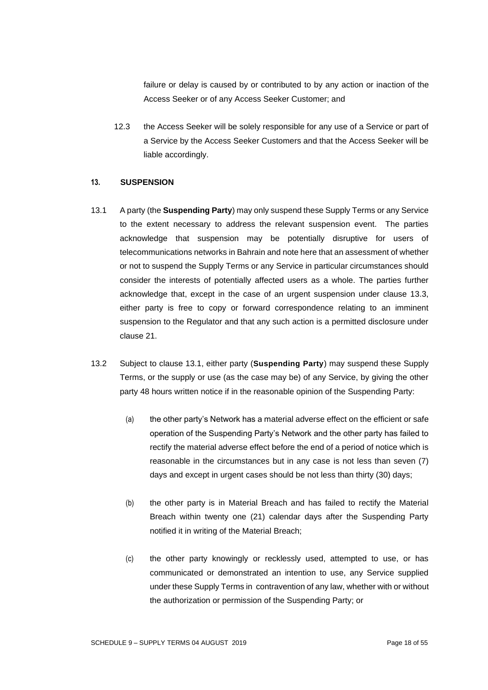failure or delay is caused by or contributed to by any action or inaction of the Access Seeker or of any Access Seeker Customer; and

12.3 the Access Seeker will be solely responsible for any use of a Service or part of a Service by the Access Seeker Customers and that the Access Seeker will be liable accordingly.

#### **13. SUSPENSION**

- 13.1 A party (the **Suspending Party**) may only suspend these Supply Terms or any Service to the extent necessary to address the relevant suspension event. The parties acknowledge that suspension may be potentially disruptive for users of telecommunications networks in Bahrain and note here that an assessment of whether or not to suspend the Supply Terms or any Service in particular circumstances should consider the interests of potentially affected users as a whole. The parties further acknowledge that, except in the case of an urgent suspension under clause 13.3, either party is free to copy or forward correspondence relating to an imminent suspension to the Regulator and that any such action is a permitted disclosure under clause 21.
- 13.2 Subject to clause 13.1, either party (**Suspending Party**) may suspend these Supply Terms, or the supply or use (as the case may be) of any Service, by giving the other party 48 hours written notice if in the reasonable opinion of the Suspending Party:
	- (a) the other party's Network has a material adverse effect on the efficient or safe operation of the Suspending Party's Network and the other party has failed to rectify the material adverse effect before the end of a period of notice which is reasonable in the circumstances but in any case is not less than seven (7) days and except in urgent cases should be not less than thirty (30) days;
	- (b) the other party is in Material Breach and has failed to rectify the Material Breach within twenty one (21) calendar days after the Suspending Party notified it in writing of the Material Breach;
	- (c) the other party knowingly or recklessly used, attempted to use, or has communicated or demonstrated an intention to use, any Service supplied under these Supply Terms in contravention of any law, whether with or without the authorization or permission of the Suspending Party; or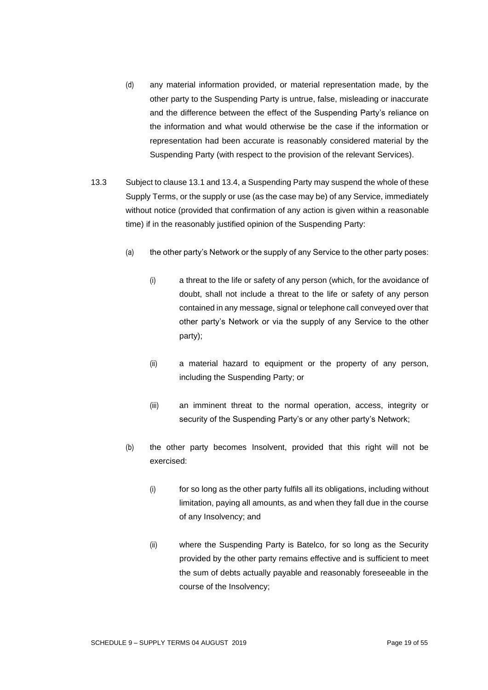- (d) any material information provided, or material representation made, by the other party to the Suspending Party is untrue, false, misleading or inaccurate and the difference between the effect of the Suspending Party's reliance on the information and what would otherwise be the case if the information or representation had been accurate is reasonably considered material by the Suspending Party (with respect to the provision of the relevant Services).
- 13.3 Subject to clause 13.1 and 13.4, a Suspending Party may suspend the whole of these Supply Terms, or the supply or use (as the case may be) of any Service, immediately without notice (provided that confirmation of any action is given within a reasonable time) if in the reasonably justified opinion of the Suspending Party:
	- (a) the other party's Network or the supply of any Service to the other party poses:
		- (i) a threat to the life or safety of any person (which, for the avoidance of doubt, shall not include a threat to the life or safety of any person contained in any message, signal or telephone call conveyed over that other party's Network or via the supply of any Service to the other party);
		- (ii) a material hazard to equipment or the property of any person, including the Suspending Party; or
		- (iii) an imminent threat to the normal operation, access, integrity or security of the Suspending Party's or any other party's Network;
	- (b) the other party becomes Insolvent, provided that this right will not be exercised:
		- (i) for so long as the other party fulfils all its obligations, including without limitation, paying all amounts, as and when they fall due in the course of any Insolvency; and
		- (ii) where the Suspending Party is Batelco, for so long as the Security provided by the other party remains effective and is sufficient to meet the sum of debts actually payable and reasonably foreseeable in the course of the Insolvency;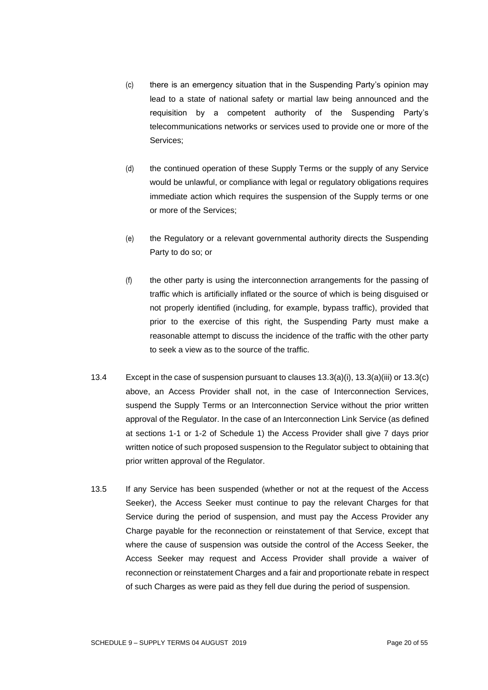- (c) there is an emergency situation that in the Suspending Party's opinion may lead to a state of national safety or martial law being announced and the requisition by a competent authority of the Suspending Party's telecommunications networks or services used to provide one or more of the Services;
- (d) the continued operation of these Supply Terms or the supply of any Service would be unlawful, or compliance with legal or regulatory obligations requires immediate action which requires the suspension of the Supply terms or one or more of the Services;
- (e) the Regulatory or a relevant governmental authority directs the Suspending Party to do so; or
- (f) the other party is using the interconnection arrangements for the passing of traffic which is artificially inflated or the source of which is being disguised or not properly identified (including, for example, bypass traffic), provided that prior to the exercise of this right, the Suspending Party must make a reasonable attempt to discuss the incidence of the traffic with the other party to seek a view as to the source of the traffic.
- 13.4 Except in the case of suspension pursuant to clauses 13.3(a)(i), 13.3(a)(iii) or 13.3(c) above, an Access Provider shall not, in the case of Interconnection Services, suspend the Supply Terms or an Interconnection Service without the prior written approval of the Regulator. In the case of an Interconnection Link Service (as defined at sections 1-1 or 1-2 of Schedule 1) the Access Provider shall give 7 days prior written notice of such proposed suspension to the Regulator subject to obtaining that prior written approval of the Regulator.
- 13.5 If any Service has been suspended (whether or not at the request of the Access Seeker), the Access Seeker must continue to pay the relevant Charges for that Service during the period of suspension, and must pay the Access Provider any Charge payable for the reconnection or reinstatement of that Service, except that where the cause of suspension was outside the control of the Access Seeker, the Access Seeker may request and Access Provider shall provide a waiver of reconnection or reinstatement Charges and a fair and proportionate rebate in respect of such Charges as were paid as they fell due during the period of suspension.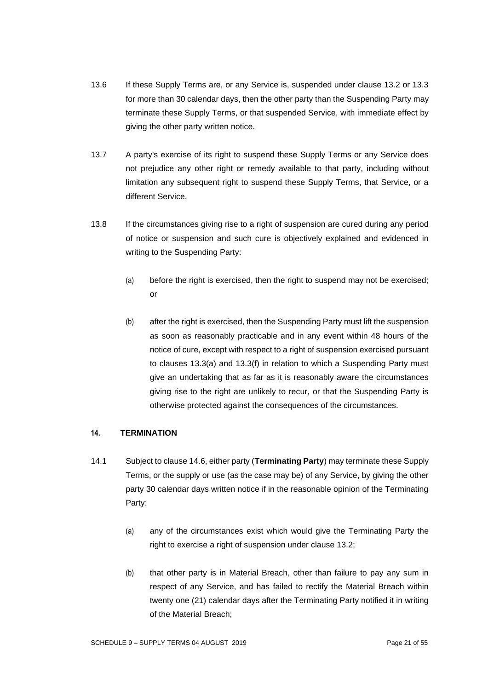- <span id="page-20-0"></span>13.6 If these Supply Terms are, or any Service is, suspended under clause 13.2 or 13.3 for more than 30 calendar days, then the other party than the Suspending Party may terminate these Supply Terms, or that suspended Service, with immediate effect by giving the other party written notice.
- 13.7 A party's exercise of its right to suspend these Supply Terms or any Service does not prejudice any other right or remedy available to that party, including without limitation any subsequent right to suspend these Supply Terms, that Service, or a different Service.
- 13.8 If the circumstances giving rise to a right of suspension are cured during any period of notice or suspension and such cure is objectively explained and evidenced in writing to the Suspending Party:
	- (a) before the right is exercised, then the right to suspend may not be exercised; or
	- (b) after the right is exercised, then the Suspending Party must lift the suspension as soon as reasonably practicable and in any event within 48 hours of the notice of cure, except with respect to a right of suspension exercised pursuant to clauses 13.3(a) and 13.3(f) in relation to which a Suspending Party must give an undertaking that as far as it is reasonably aware the circumstances giving rise to the right are unlikely to recur, or that the Suspending Party is otherwise protected against the consequences of the circumstances.

## <span id="page-20-1"></span>**14. TERMINATION**

- 14.1 Subject to clause 14.6, either party (**Terminating Party**) may terminate these Supply Terms, or the supply or use (as the case may be) of any Service, by giving the other party 30 calendar days written notice if in the reasonable opinion of the Terminating Party:
	- (a) any of the circumstances exist which would give the Terminating Party the right to exercise a right of suspension under clause 13.2;
	- (b) that other party is in Material Breach, other than failure to pay any sum in respect of any Service, and has failed to rectify the Material Breach within twenty one (21) calendar days after the Terminating Party notified it in writing of the Material Breach;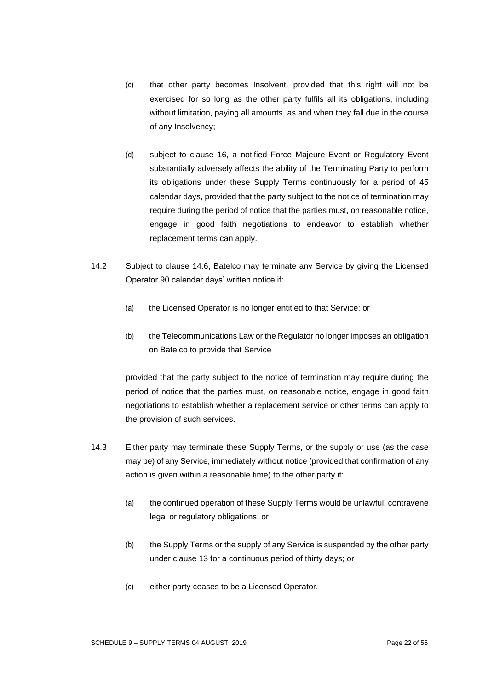- (c) that other party becomes Insolvent, provided that this right will not be exercised for so long as the other party fulfils all its obligations, including without limitation, paying all amounts, as and when they fall due in the course of any Insolvency;
- (d) subject to clause 16, a notified Force Majeure Event or Regulatory Event substantially adversely affects the ability of the Terminating Party to perform its obligations under these Supply Terms continuously for a period of 45 calendar days, provided that the party subject to the notice of termination may require during the period of notice that the parties must, on reasonable notice, engage in good faith negotiations to endeavor to establish whether replacement terms can apply.
- 14.2 Subject to clause 14.6, Batelco may terminate any Service by giving the Licensed Operator 90 calendar days' written notice if:
	- (a) the Licensed Operator is no longer entitled to that Service; or
	- (b) the Telecommunications Law or the Regulator no longer imposes an obligation on Batelco to provide that Service

provided that the party subject to the notice of termination may require during the period of notice that the parties must, on reasonable notice, engage in good faith negotiations to establish whether a replacement service or other terms can apply to the provision of such services.

- 14.3 Either party may terminate these Supply Terms, or the supply or use (as the case may be) of any Service, immediately without notice (provided that confirmation of any action is given within a reasonable time) to the other party if:
	- (a) the continued operation of these Supply Terms would be unlawful, contravene legal or regulatory obligations; or
	- (b) the Supply Terms or the supply of any Service is suspended by the other party under clause 13 for a continuous period of thirty days; or
	- (c) either party ceases to be a Licensed Operator.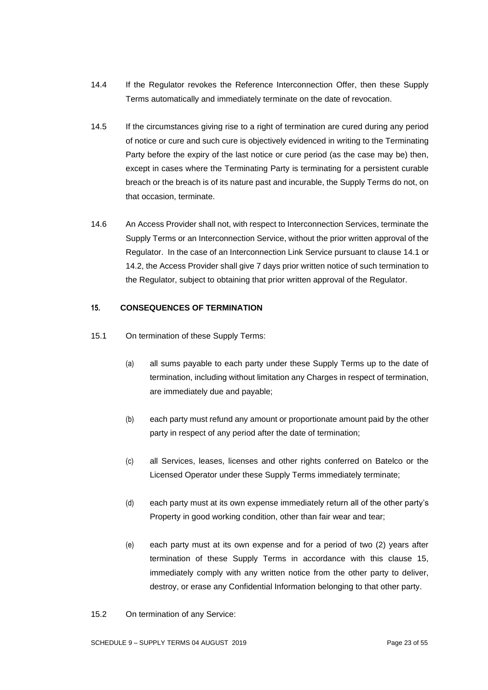- 14.4 If the Regulator revokes the Reference Interconnection Offer, then these Supply Terms automatically and immediately terminate on the date of revocation.
- 14.5 If the circumstances giving rise to a right of termination are cured during any period of notice or cure and such cure is objectively evidenced in writing to the Terminating Party before the expiry of the last notice or cure period (as the case may be) then, except in cases where the Terminating Party is terminating for a persistent curable breach or the breach is of its nature past and incurable, the Supply Terms do not, on that occasion, terminate.
- 14.6 An Access Provider shall not, with respect to Interconnection Services, terminate the Supply Terms or an Interconnection Service, without the prior written approval of the Regulator. In the case of an Interconnection Link Service pursuant to clause 14.1 or 14.2, the Access Provider shall give 7 days prior written notice of such termination to the Regulator, subject to obtaining that prior written approval of the Regulator.

## **15. CONSEQUENCES OF TERMINATION**

- 15.1 On termination of these Supply Terms:
	- (a) all sums payable to each party under these Supply Terms up to the date of termination, including without limitation any Charges in respect of termination, are immediately due and payable;
	- (b) each party must refund any amount or proportionate amount paid by the other party in respect of any period after the date of termination;
	- (c) all Services, leases, licenses and other rights conferred on Batelco or the Licensed Operator under these Supply Terms immediately terminate;
	- (d) each party must at its own expense immediately return all of the other party's Property in good working condition, other than fair wear and tear;
	- (e) each party must at its own expense and for a period of two (2) years after termination of these Supply Terms in accordance with this clause 15, immediately comply with any written notice from the other party to deliver, destroy, or erase any Confidential Information belonging to that other party.

15.2 On termination of any Service: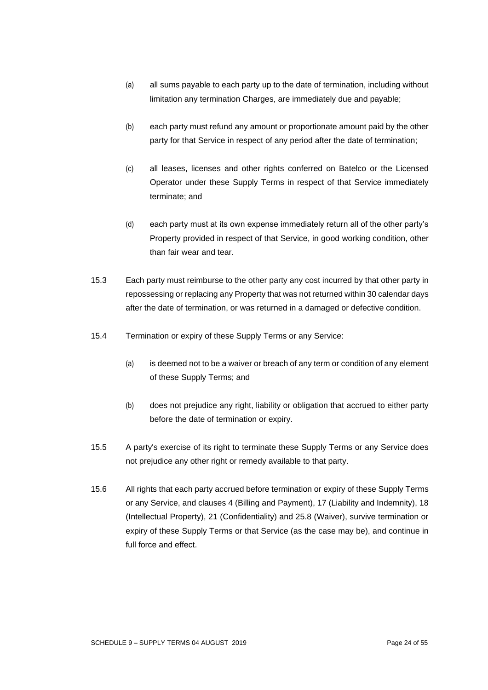- (a) all sums payable to each party up to the date of termination, including without limitation any termination Charges, are immediately due and payable;
- (b) each party must refund any amount or proportionate amount paid by the other party for that Service in respect of any period after the date of termination;
- (c) all leases, licenses and other rights conferred on Batelco or the Licensed Operator under these Supply Terms in respect of that Service immediately terminate; and
- (d) each party must at its own expense immediately return all of the other party's Property provided in respect of that Service, in good working condition, other than fair wear and tear.
- 15.3 Each party must reimburse to the other party any cost incurred by that other party in repossessing or replacing any Property that was not returned within 30 calendar days after the date of termination, or was returned in a damaged or defective condition.
- 15.4 Termination or expiry of these Supply Terms or any Service:
	- (a) is deemed not to be a waiver or breach of any term or condition of any element of these Supply Terms; and
	- (b) does not prejudice any right, liability or obligation that accrued to either party before the date of termination or expiry.
- 15.5 A party's exercise of its right to terminate these Supply Terms or any Service does not prejudice any other right or remedy available to that party.
- 15.6 All rights that each party accrued before termination or expiry of these Supply Terms or any Service, and clauses 4 (Billing and Payment), 17 (Liability and Indemnity), 18 (Intellectual Property), 21 (Confidentiality) and 25.8 (Waiver), survive termination or expiry of these Supply Terms or that Service (as the case may be), and continue in full force and effect.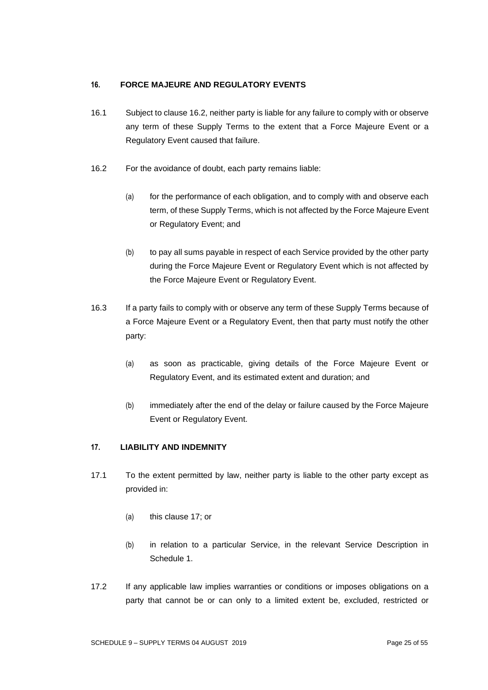## **16. FORCE MAJEURE AND REGULATORY EVENTS**

- 16.1 Subject to clause 16.2, neither party is liable for any failure to comply with or observe any term of these Supply Terms to the extent that a Force Majeure Event or a Regulatory Event caused that failure.
- 16.2 For the avoidance of doubt, each party remains liable:
	- (a) for the performance of each obligation, and to comply with and observe each term, of these Supply Terms, which is not affected by the Force Majeure Event or Regulatory Event; and
	- (b) to pay all sums payable in respect of each Service provided by the other party during the Force Majeure Event or Regulatory Event which is not affected by the Force Majeure Event or Regulatory Event.
- 16.3 If a party fails to comply with or observe any term of these Supply Terms because of a Force Majeure Event or a Regulatory Event, then that party must notify the other party:
	- (a) as soon as practicable, giving details of the Force Majeure Event or Regulatory Event, and its estimated extent and duration; and
	- (b) immediately after the end of the delay or failure caused by the Force Majeure Event or Regulatory Event.

## **17. LIABILITY AND INDEMNITY**

- 17.1 To the extent permitted by law, neither party is liable to the other party except as provided in:
	- (a) this clause 17; or
	- (b) in relation to a particular Service, in the relevant Service Description in Schedule 1.
- 17.2 If any applicable law implies warranties or conditions or imposes obligations on a party that cannot be or can only to a limited extent be, excluded, restricted or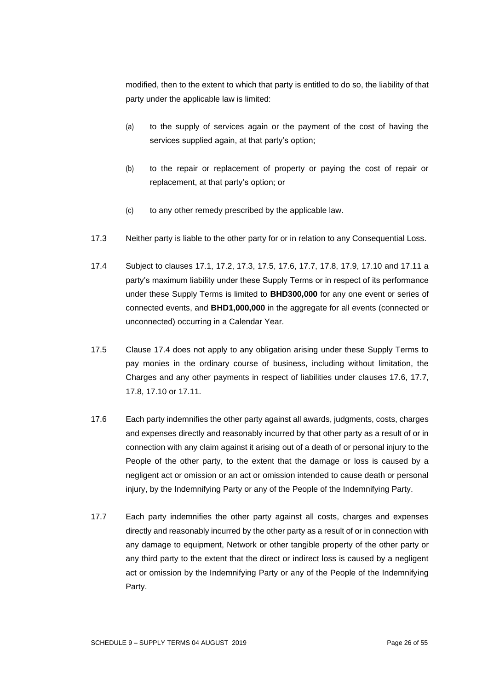modified, then to the extent to which that party is entitled to do so, the liability of that party under the applicable law is limited:

- (a) to the supply of services again or the payment of the cost of having the services supplied again, at that party's option;
- (b) to the repair or replacement of property or paying the cost of repair or replacement, at that party's option; or
- (c) to any other remedy prescribed by the applicable law.
- 17.3 Neither party is liable to the other party for or in relation to any Consequential Loss.
- 17.4 Subject to clauses 17.1, 17.2, 17.3, 17.5, 17.6, 17.7, 17.8, 17.9, 17.10 and 17.11 a party's maximum liability under these Supply Terms or in respect of its performance under these Supply Terms is limited to **BHD300,000** for any one event or series of connected events, and **BHD1,000,000** in the aggregate for all events (connected or unconnected) occurring in a Calendar Year.
- 17.5 Clause 17.4 does not apply to any obligation arising under these Supply Terms to pay monies in the ordinary course of business, including without limitation, the Charges and any other payments in respect of liabilities under clauses 17.6, 17.7, 17.8, 17.10 or 17.11.
- 17.6 Each party indemnifies the other party against all awards, judgments, costs, charges and expenses directly and reasonably incurred by that other party as a result of or in connection with any claim against it arising out of a death of or personal injury to the People of the other party, to the extent that the damage or loss is caused by a negligent act or omission or an act or omission intended to cause death or personal injury, by the Indemnifying Party or any of the People of the Indemnifying Party.
- 17.7 Each party indemnifies the other party against all costs, charges and expenses directly and reasonably incurred by the other party as a result of or in connection with any damage to equipment, Network or other tangible property of the other party or any third party to the extent that the direct or indirect loss is caused by a negligent act or omission by the Indemnifying Party or any of the People of the Indemnifying Party.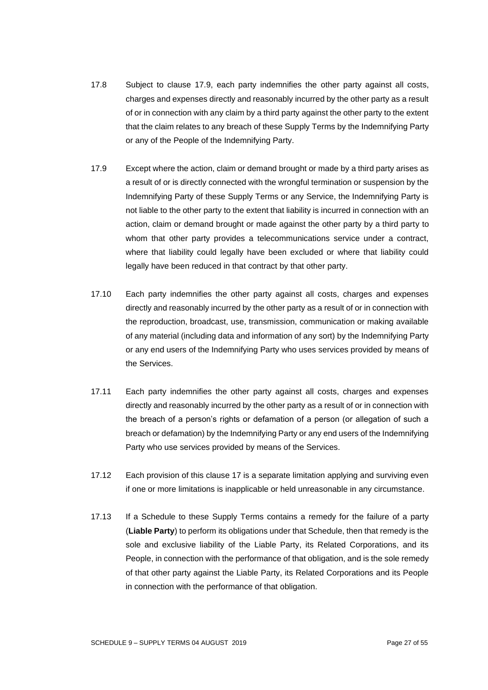- 17.8 Subject to clause 17.9, each party indemnifies the other party against all costs, charges and expenses directly and reasonably incurred by the other party as a result of or in connection with any claim by a third party against the other party to the extent that the claim relates to any breach of these Supply Terms by the Indemnifying Party or any of the People of the Indemnifying Party.
- 17.9 Except where the action, claim or demand brought or made by a third party arises as a result of or is directly connected with the wrongful termination or suspension by the Indemnifying Party of these Supply Terms or any Service, the Indemnifying Party is not liable to the other party to the extent that liability is incurred in connection with an action, claim or demand brought or made against the other party by a third party to whom that other party provides a telecommunications service under a contract, where that liability could legally have been excluded or where that liability could legally have been reduced in that contract by that other party.
- 17.10 Each party indemnifies the other party against all costs, charges and expenses directly and reasonably incurred by the other party as a result of or in connection with the reproduction, broadcast, use, transmission, communication or making available of any material (including data and information of any sort) by the Indemnifying Party or any end users of the Indemnifying Party who uses services provided by means of the Services.
- 17.11 Each party indemnifies the other party against all costs, charges and expenses directly and reasonably incurred by the other party as a result of or in connection with the breach of a person's rights or defamation of a person (or allegation of such a breach or defamation) by the Indemnifying Party or any end users of the Indemnifying Party who use services provided by means of the Services.
- 17.12 Each provision of this clause 17 is a separate limitation applying and surviving even if one or more limitations is inapplicable or held unreasonable in any circumstance.
- 17.13 If a Schedule to these Supply Terms contains a remedy for the failure of a party (**Liable Party**) to perform its obligations under that Schedule, then that remedy is the sole and exclusive liability of the Liable Party, its Related Corporations, and its People, in connection with the performance of that obligation, and is the sole remedy of that other party against the Liable Party, its Related Corporations and its People in connection with the performance of that obligation.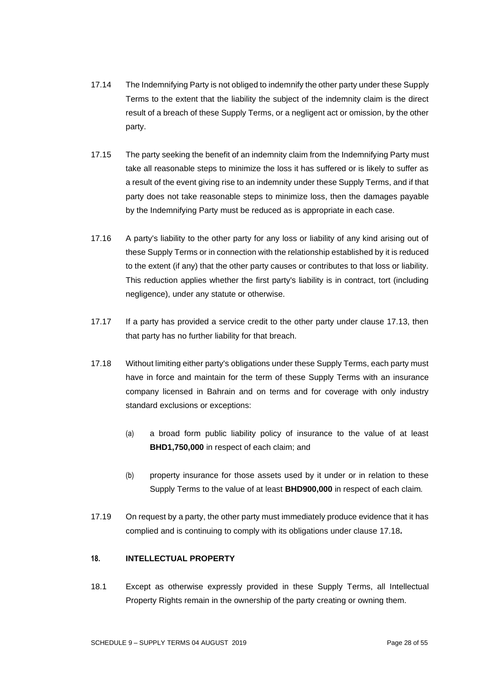- 17.14 The Indemnifying Party is not obliged to indemnify the other party under these Supply Terms to the extent that the liability the subject of the indemnity claim is the direct result of a breach of these Supply Terms, or a negligent act or omission, by the other party.
- 17.15 The party seeking the benefit of an indemnity claim from the Indemnifying Party must take all reasonable steps to minimize the loss it has suffered or is likely to suffer as a result of the event giving rise to an indemnity under these Supply Terms, and if that party does not take reasonable steps to minimize loss, then the damages payable by the Indemnifying Party must be reduced as is appropriate in each case.
- 17.16 A party's liability to the other party for any loss or liability of any kind arising out of these Supply Terms or in connection with the relationship established by it is reduced to the extent (if any) that the other party causes or contributes to that loss or liability. This reduction applies whether the first party's liability is in contract, tort (including negligence), under any statute or otherwise.
- 17.17 If a party has provided a service credit to the other party under clause 17.13, then that party has no further liability for that breach.
- 17.18 Without limiting either party's obligations under these Supply Terms, each party must have in force and maintain for the term of these Supply Terms with an insurance company licensed in Bahrain and on terms and for coverage with only industry standard exclusions or exceptions:
	- (a) a broad form public liability policy of insurance to the value of at least **BHD1,750,000** in respect of each claim; and
	- (b) property insurance for those assets used by it under or in relation to these Supply Terms to the value of at least **BHD900,000** in respect of each claim*.*
- 17.19 On request by a party, the other party must immediately produce evidence that it has complied and is continuing to comply with its obligations under clause 17.18*.*

## **18. INTELLECTUAL PROPERTY**

18.1 Except as otherwise expressly provided in these Supply Terms, all Intellectual Property Rights remain in the ownership of the party creating or owning them.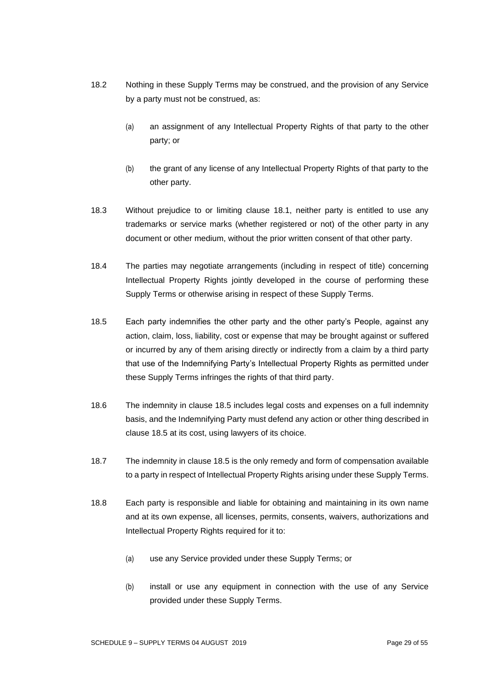- 18.2 Nothing in these Supply Terms may be construed, and the provision of any Service by a party must not be construed, as:
	- (a) an assignment of any Intellectual Property Rights of that party to the other party; or
	- (b) the grant of any license of any Intellectual Property Rights of that party to the other party.
- 18.3 Without prejudice to or limiting clause 18.1, neither party is entitled to use any trademarks or service marks (whether registered or not) of the other party in any document or other medium, without the prior written consent of that other party.
- 18.4 The parties may negotiate arrangements (including in respect of title) concerning Intellectual Property Rights jointly developed in the course of performing these Supply Terms or otherwise arising in respect of these Supply Terms.
- 18.5 Each party indemnifies the other party and the other party's People, against any action, claim, loss, liability, cost or expense that may be brought against or suffered or incurred by any of them arising directly or indirectly from a claim by a third party that use of the Indemnifying Party's Intellectual Property Rights as permitted under these Supply Terms infringes the rights of that third party.
- 18.6 The indemnity in clause 18.5 includes legal costs and expenses on a full indemnity basis, and the Indemnifying Party must defend any action or other thing described in clause 18.5 at its cost, using lawyers of its choice.
- 18.7 The indemnity in clause 18.5 is the only remedy and form of compensation available to a party in respect of Intellectual Property Rights arising under these Supply Terms.
- 18.8 Each party is responsible and liable for obtaining and maintaining in its own name and at its own expense, all licenses, permits, consents, waivers, authorizations and Intellectual Property Rights required for it to:
	- (a) use any Service provided under these Supply Terms; or
	- (b) install or use any equipment in connection with the use of any Service provided under these Supply Terms.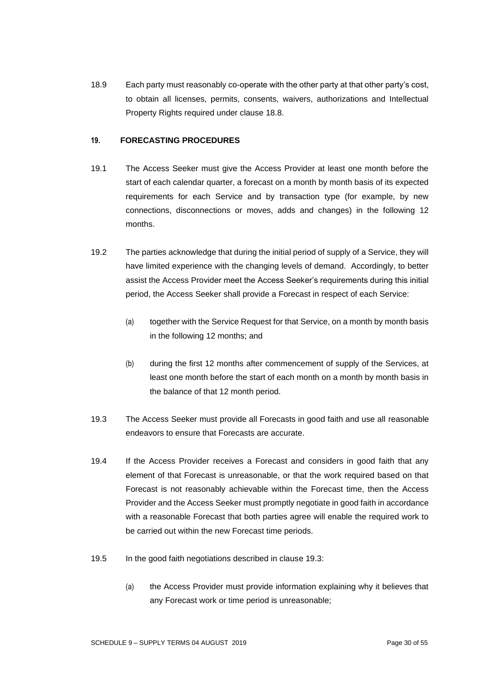18.9 Each party must reasonably co-operate with the other party at that other party's cost, to obtain all licenses, permits, consents, waivers, authorizations and Intellectual Property Rights required under clause 18.8.

# **19. FORECASTING PROCEDURES**

- 19.1 The Access Seeker must give the Access Provider at least one month before the start of each calendar quarter, a forecast on a month by month basis of its expected requirements for each Service and by transaction type (for example, by new connections, disconnections or moves, adds and changes) in the following 12 months.
- 19.2 The parties acknowledge that during the initial period of supply of a Service, they will have limited experience with the changing levels of demand. Accordingly, to better assist the Access Provider meet the Access Seeker's requirements during this initial period, the Access Seeker shall provide a Forecast in respect of each Service:
	- (a) together with the Service Request for that Service, on a month by month basis in the following 12 months; and
	- (b) during the first 12 months after commencement of supply of the Services, at least one month before the start of each month on a month by month basis in the balance of that 12 month period.
- 19.3 The Access Seeker must provide all Forecasts in good faith and use all reasonable endeavors to ensure that Forecasts are accurate.
- 19.4 If the Access Provider receives a Forecast and considers in good faith that any element of that Forecast is unreasonable, or that the work required based on that Forecast is not reasonably achievable within the Forecast time, then the Access Provider and the Access Seeker must promptly negotiate in good faith in accordance with a reasonable Forecast that both parties agree will enable the required work to be carried out within the new Forecast time periods.
- 19.5 In the good faith negotiations described in clause 19.3:
	- (a) the Access Provider must provide information explaining why it believes that any Forecast work or time period is unreasonable;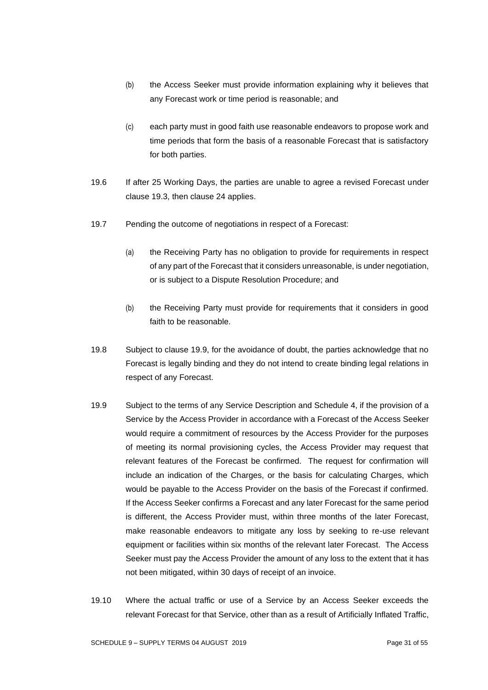- (b) the Access Seeker must provide information explaining why it believes that any Forecast work or time period is reasonable; and
- (c) each party must in good faith use reasonable endeavors to propose work and time periods that form the basis of a reasonable Forecast that is satisfactory for both parties.
- 19.6 If after 25 Working Days, the parties are unable to agree a revised Forecast under clause 19.3, then clause 24 applies.
- 19.7 Pending the outcome of negotiations in respect of a Forecast:
	- (a) the Receiving Party has no obligation to provide for requirements in respect of any part of the Forecast that it considers unreasonable, is under negotiation, or is subject to a Dispute Resolution Procedure; and
	- (b) the Receiving Party must provide for requirements that it considers in good faith to be reasonable.
- 19.8 Subject to clause 19.9, for the avoidance of doubt, the parties acknowledge that no Forecast is legally binding and they do not intend to create binding legal relations in respect of any Forecast.
- 19.9 Subject to the terms of any Service Description and Schedule 4, if the provision of a Service by the Access Provider in accordance with a Forecast of the Access Seeker would require a commitment of resources by the Access Provider for the purposes of meeting its normal provisioning cycles, the Access Provider may request that relevant features of the Forecast be confirmed. The request for confirmation will include an indication of the Charges, or the basis for calculating Charges, which would be payable to the Access Provider on the basis of the Forecast if confirmed. If the Access Seeker confirms a Forecast and any later Forecast for the same period is different, the Access Provider must, within three months of the later Forecast, make reasonable endeavors to mitigate any loss by seeking to re-use relevant equipment or facilities within six months of the relevant later Forecast. The Access Seeker must pay the Access Provider the amount of any loss to the extent that it has not been mitigated, within 30 days of receipt of an invoice.
- 19.10 Where the actual traffic or use of a Service by an Access Seeker exceeds the relevant Forecast for that Service, other than as a result of Artificially Inflated Traffic,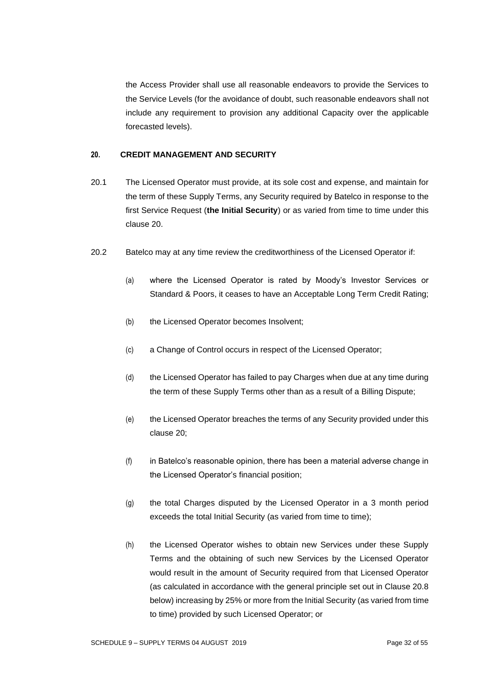the Access Provider shall use all reasonable endeavors to provide the Services to the Service Levels (for the avoidance of doubt, such reasonable endeavors shall not include any requirement to provision any additional Capacity over the applicable forecasted levels).

#### **20. CREDIT MANAGEMENT AND SECURITY**

- 20.1 The Licensed Operator must provide, at its sole cost and expense, and maintain for the term of these Supply Terms, any Security required by Batelco in response to the first Service Request (**the Initial Security**) or as varied from time to time under this clause 20.
- 20.2 Batelco may at any time review the creditworthiness of the Licensed Operator if:
	- (a) where the Licensed Operator is rated by Moody's Investor Services or Standard & Poors, it ceases to have an Acceptable Long Term Credit Rating;
	- (b) the Licensed Operator becomes Insolvent;
	- (c) a Change of Control occurs in respect of the Licensed Operator;
	- (d) the Licensed Operator has failed to pay Charges when due at any time during the term of these Supply Terms other than as a result of a Billing Dispute;
	- (e) the Licensed Operator breaches the terms of any Security provided under this clause 20;
	- (f) in Batelco's reasonable opinion, there has been a material adverse change in the Licensed Operator's financial position;
	- (g) the total Charges disputed by the Licensed Operator in a 3 month period exceeds the total Initial Security (as varied from time to time);
	- (h) the Licensed Operator wishes to obtain new Services under these Supply Terms and the obtaining of such new Services by the Licensed Operator would result in the amount of Security required from that Licensed Operator (as calculated in accordance with the general principle set out in Clause 20.8 below) increasing by 25% or more from the Initial Security (as varied from time to time) provided by such Licensed Operator; or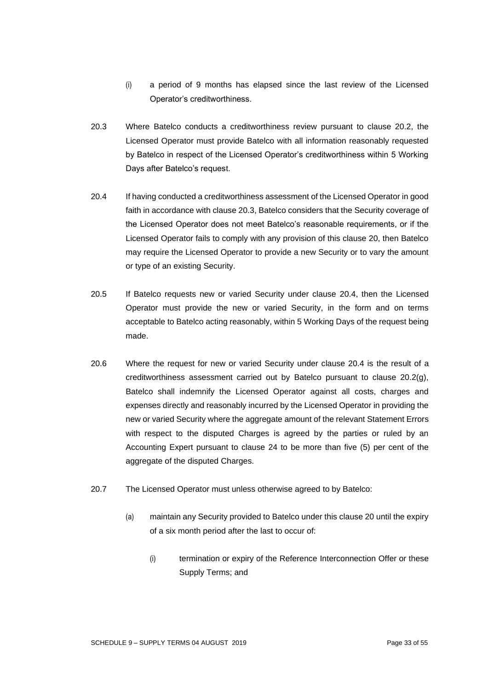- (i) a period of 9 months has elapsed since the last review of the Licensed Operator's creditworthiness.
- 20.3 Where Batelco conducts a creditworthiness review pursuant to clause 20.2, the Licensed Operator must provide Batelco with all information reasonably requested by Batelco in respect of the Licensed Operator's creditworthiness within 5 Working Days after Batelco's request.
- 20.4 If having conducted a creditworthiness assessment of the Licensed Operator in good faith in accordance with clause 20.3, Batelco considers that the Security coverage of the Licensed Operator does not meet Batelco's reasonable requirements, or if the Licensed Operator fails to comply with any provision of this clause 20, then Batelco may require the Licensed Operator to provide a new Security or to vary the amount or type of an existing Security.
- 20.5 If Batelco requests new or varied Security under clause 20.4, then the Licensed Operator must provide the new or varied Security, in the form and on terms acceptable to Batelco acting reasonably, within 5 Working Days of the request being made.
- 20.6 Where the request for new or varied Security under clause 20.4 is the result of a creditworthiness assessment carried out by Batelco pursuant to clause 20.2(g), Batelco shall indemnify the Licensed Operator against all costs, charges and expenses directly and reasonably incurred by the Licensed Operator in providing the new or varied Security where the aggregate amount of the relevant Statement Errors with respect to the disputed Charges is agreed by the parties or ruled by an Accounting Expert pursuant to clause 24 to be more than five (5) per cent of the aggregate of the disputed Charges.
- 20.7 The Licensed Operator must unless otherwise agreed to by Batelco:
	- (a) maintain any Security provided to Batelco under this clause 20 until the expiry of a six month period after the last to occur of:
		- (i) termination or expiry of the Reference Interconnection Offer or these Supply Terms; and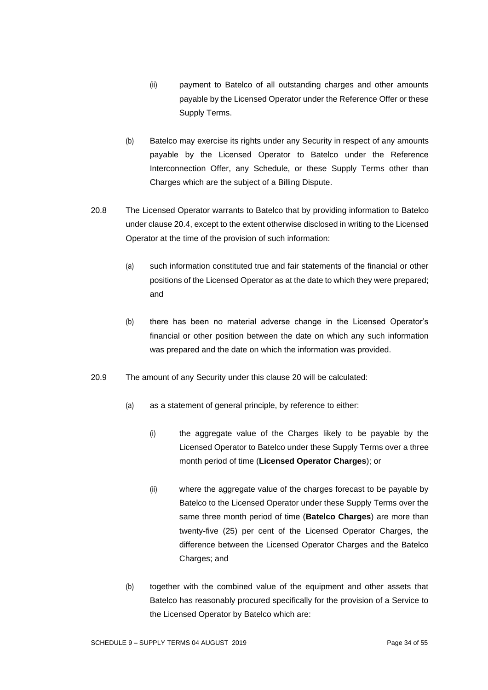- (ii) payment to Batelco of all outstanding charges and other amounts payable by the Licensed Operator under the Reference Offer or these Supply Terms.
- (b) Batelco may exercise its rights under any Security in respect of any amounts payable by the Licensed Operator to Batelco under the Reference Interconnection Offer, any Schedule, or these Supply Terms other than Charges which are the subject of a Billing Dispute.
- 20.8 The Licensed Operator warrants to Batelco that by providing information to Batelco under clause 20.4, except to the extent otherwise disclosed in writing to the Licensed Operator at the time of the provision of such information:
	- (a) such information constituted true and fair statements of the financial or other positions of the Licensed Operator as at the date to which they were prepared; and
	- (b) there has been no material adverse change in the Licensed Operator's financial or other position between the date on which any such information was prepared and the date on which the information was provided.
- 20.9 The amount of any Security under this clause 20 will be calculated:
	- (a) as a statement of general principle, by reference to either:
		- (i) the aggregate value of the Charges likely to be payable by the Licensed Operator to Batelco under these Supply Terms over a three month period of time (**Licensed Operator Charges**); or
		- (ii) where the aggregate value of the charges forecast to be payable by Batelco to the Licensed Operator under these Supply Terms over the same three month period of time (**Batelco Charges**) are more than twenty-five (25) per cent of the Licensed Operator Charges, the difference between the Licensed Operator Charges and the Batelco Charges; and
	- (b) together with the combined value of the equipment and other assets that Batelco has reasonably procured specifically for the provision of a Service to the Licensed Operator by Batelco which are: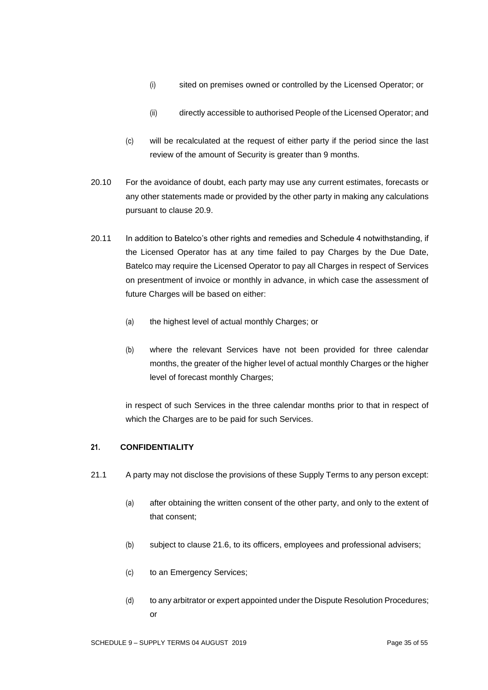- (i) sited on premises owned or controlled by the Licensed Operator; or
- (ii) directly accessible to authorised People of the Licensed Operator; and
- (c) will be recalculated at the request of either party if the period since the last review of the amount of Security is greater than 9 months.
- 20.10 For the avoidance of doubt, each party may use any current estimates, forecasts or any other statements made or provided by the other party in making any calculations pursuant to clause 20.9.
- 20.11 In addition to Batelco's other rights and remedies and Schedule 4 notwithstanding, if the Licensed Operator has at any time failed to pay Charges by the Due Date, Batelco may require the Licensed Operator to pay all Charges in respect of Services on presentment of invoice or monthly in advance, in which case the assessment of future Charges will be based on either:
	- (a) the highest level of actual monthly Charges; or
	- (b) where the relevant Services have not been provided for three calendar months, the greater of the higher level of actual monthly Charges or the higher level of forecast monthly Charges;

in respect of such Services in the three calendar months prior to that in respect of which the Charges are to be paid for such Services.

## **21. CONFIDENTIALITY**

- 21.1 A party may not disclose the provisions of these Supply Terms to any person except:
	- (a) after obtaining the written consent of the other party, and only to the extent of that consent;
	- (b) subject to clause 21.6, to its officers, employees and professional advisers;
	- (c) to an Emergency Services;
	- (d) to any arbitrator or expert appointed under the Dispute Resolution Procedures; or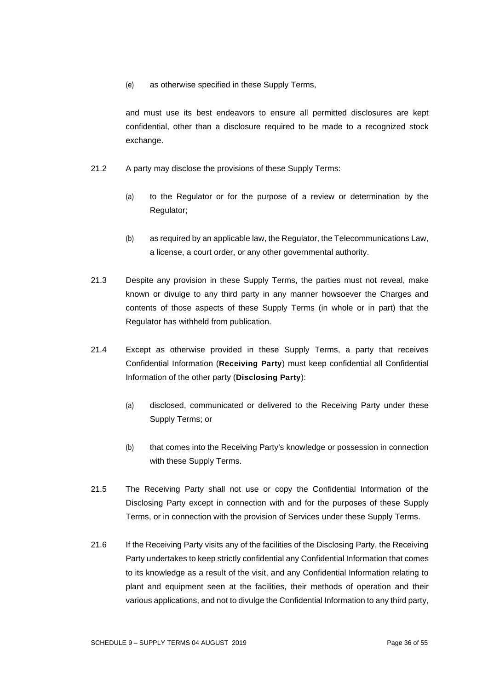(e) as otherwise specified in these Supply Terms,

and must use its best endeavors to ensure all permitted disclosures are kept confidential, other than a disclosure required to be made to a recognized stock exchange.

- 21.2 A party may disclose the provisions of these Supply Terms:
	- (a) to the Regulator or for the purpose of a review or determination by the Regulator;
	- (b) as required by an applicable law, the Regulator, the Telecommunications Law, a license, a court order, or any other governmental authority.
- 21.3 Despite any provision in these Supply Terms, the parties must not reveal, make known or divulge to any third party in any manner howsoever the Charges and contents of those aspects of these Supply Terms (in whole or in part) that the Regulator has withheld from publication.
- 21.4 Except as otherwise provided in these Supply Terms, a party that receives Confidential Information (**Receiving Party**) must keep confidential all Confidential Information of the other party (**Disclosing Party**):
	- (a) disclosed, communicated or delivered to the Receiving Party under these Supply Terms; or
	- (b) that comes into the Receiving Party's knowledge or possession in connection with these Supply Terms.
- 21.5 The Receiving Party shall not use or copy the Confidential Information of the Disclosing Party except in connection with and for the purposes of these Supply Terms, or in connection with the provision of Services under these Supply Terms.
- 21.6 If the Receiving Party visits any of the facilities of the Disclosing Party, the Receiving Party undertakes to keep strictly confidential any Confidential Information that comes to its knowledge as a result of the visit, and any Confidential Information relating to plant and equipment seen at the facilities, their methods of operation and their various applications, and not to divulge the Confidential Information to any third party,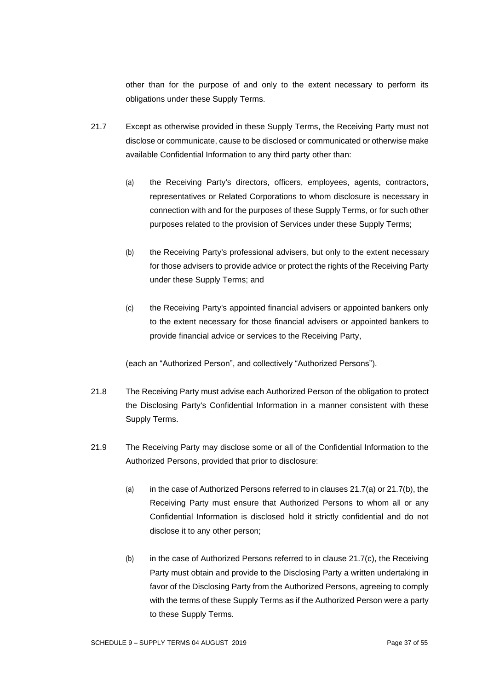other than for the purpose of and only to the extent necessary to perform its obligations under these Supply Terms.

- 21.7 Except as otherwise provided in these Supply Terms, the Receiving Party must not disclose or communicate, cause to be disclosed or communicated or otherwise make available Confidential Information to any third party other than:
	- (a) the Receiving Party's directors, officers, employees, agents, contractors, representatives or Related Corporations to whom disclosure is necessary in connection with and for the purposes of these Supply Terms, or for such other purposes related to the provision of Services under these Supply Terms;
	- (b) the Receiving Party's professional advisers, but only to the extent necessary for those advisers to provide advice or protect the rights of the Receiving Party under these Supply Terms; and
	- (c) the Receiving Party's appointed financial advisers or appointed bankers only to the extent necessary for those financial advisers or appointed bankers to provide financial advice or services to the Receiving Party,

(each an "Authorized Person", and collectively "Authorized Persons").

- 21.8 The Receiving Party must advise each Authorized Person of the obligation to protect the Disclosing Party's Confidential Information in a manner consistent with these Supply Terms.
- 21.9 The Receiving Party may disclose some or all of the Confidential Information to the Authorized Persons, provided that prior to disclosure:
	- (a) in the case of Authorized Persons referred to in clauses  $21.7(a)$  or  $21.7(b)$ , the Receiving Party must ensure that Authorized Persons to whom all or any Confidential Information is disclosed hold it strictly confidential and do not disclose it to any other person;
	- (b) in the case of Authorized Persons referred to in clause 21.7(c), the Receiving Party must obtain and provide to the Disclosing Party a written undertaking in favor of the Disclosing Party from the Authorized Persons, agreeing to comply with the terms of these Supply Terms as if the Authorized Person were a party to these Supply Terms.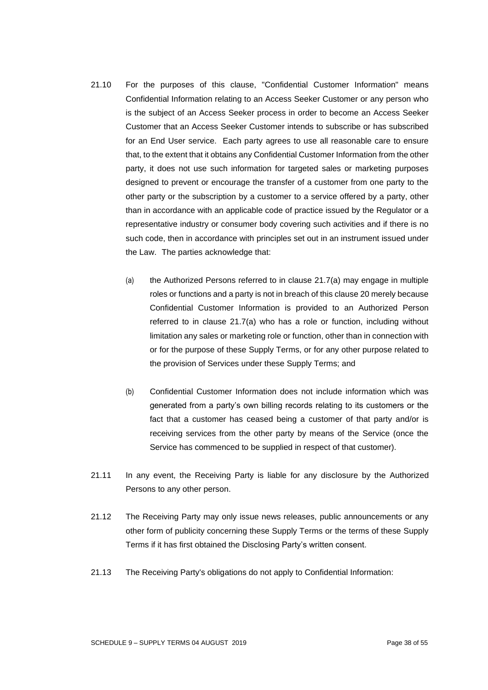- 21.10 For the purposes of this clause, "Confidential Customer Information" means Confidential Information relating to an Access Seeker Customer or any person who is the subject of an Access Seeker process in order to become an Access Seeker Customer that an Access Seeker Customer intends to subscribe or has subscribed for an End User service. Each party agrees to use all reasonable care to ensure that, to the extent that it obtains any Confidential Customer Information from the other party, it does not use such information for targeted sales or marketing purposes designed to prevent or encourage the transfer of a customer from one party to the other party or the subscription by a customer to a service offered by a party, other than in accordance with an applicable code of practice issued by the Regulator or a representative industry or consumer body covering such activities and if there is no such code, then in accordance with principles set out in an instrument issued under the Law. The parties acknowledge that:
	- (a) the Authorized Persons referred to in clause 21.7(a) may engage in multiple roles or functions and a party is not in breach of this clause 20 merely because Confidential Customer Information is provided to an Authorized Person referred to in clause 21.7(a) who has a role or function, including without limitation any sales or marketing role or function, other than in connection with or for the purpose of these Supply Terms, or for any other purpose related to the provision of Services under these Supply Terms; and
	- (b) Confidential Customer Information does not include information which was generated from a party's own billing records relating to its customers or the fact that a customer has ceased being a customer of that party and/or is receiving services from the other party by means of the Service (once the Service has commenced to be supplied in respect of that customer).
- 21.11 In any event, the Receiving Party is liable for any disclosure by the Authorized Persons to any other person.
- 21.12 The Receiving Party may only issue news releases, public announcements or any other form of publicity concerning these Supply Terms or the terms of these Supply Terms if it has first obtained the Disclosing Party's written consent.
- 21.13 The Receiving Party's obligations do not apply to Confidential Information: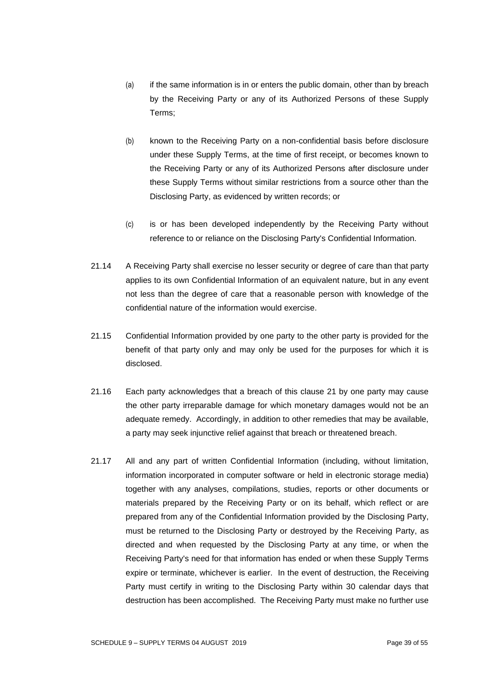- (a) if the same information is in or enters the public domain, other than by breach by the Receiving Party or any of its Authorized Persons of these Supply Terms;
- (b) known to the Receiving Party on a non-confidential basis before disclosure under these Supply Terms, at the time of first receipt, or becomes known to the Receiving Party or any of its Authorized Persons after disclosure under these Supply Terms without similar restrictions from a source other than the Disclosing Party, as evidenced by written records; or
- (c) is or has been developed independently by the Receiving Party without reference to or reliance on the Disclosing Party's Confidential Information.
- 21.14 A Receiving Party shall exercise no lesser security or degree of care than that party applies to its own Confidential Information of an equivalent nature, but in any event not less than the degree of care that a reasonable person with knowledge of the confidential nature of the information would exercise.
- 21.15 Confidential Information provided by one party to the other party is provided for the benefit of that party only and may only be used for the purposes for which it is disclosed.
- 21.16 Each party acknowledges that a breach of this clause 21 by one party may cause the other party irreparable damage for which monetary damages would not be an adequate remedy. Accordingly, in addition to other remedies that may be available, a party may seek injunctive relief against that breach or threatened breach.
- 21.17 All and any part of written Confidential Information (including, without limitation, information incorporated in computer software or held in electronic storage media) together with any analyses, compilations, studies, reports or other documents or materials prepared by the Receiving Party or on its behalf, which reflect or are prepared from any of the Confidential Information provided by the Disclosing Party, must be returned to the Disclosing Party or destroyed by the Receiving Party, as directed and when requested by the Disclosing Party at any time, or when the Receiving Party's need for that information has ended or when these Supply Terms expire or terminate, whichever is earlier. In the event of destruction, the Receiving Party must certify in writing to the Disclosing Party within 30 calendar days that destruction has been accomplished. The Receiving Party must make no further use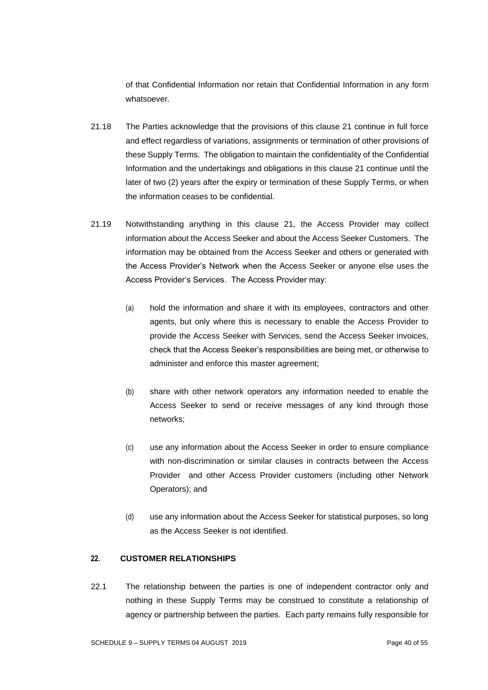of that Confidential Information nor retain that Confidential Information in any form whatsoever.

- 21.18 The Parties acknowledge that the provisions of this clause 21 continue in full force and effect regardless of variations, assignments or termination of other provisions of these Supply Terms. The obligation to maintain the confidentiality of the Confidential Information and the undertakings and obligations in this clause 21 continue until the later of two (2) years after the expiry or termination of these Supply Terms, or when the information ceases to be confidential.
- 21.19 Notwithstanding anything in this clause 21, the Access Provider may collect information about the Access Seeker and about the Access Seeker Customers. The information may be obtained from the Access Seeker and others or generated with the Access Provider's Network when the Access Seeker or anyone else uses the Access Provider's Services. The Access Provider may:
	- (a) hold the information and share it with its employees, contractors and other agents, but only where this is necessary to enable the Access Provider to provide the Access Seeker with Services, send the Access Seeker invoices, check that the Access Seeker's responsibilities are being met, or otherwise to administer and enforce this master agreement;
	- (b) share with other network operators any information needed to enable the Access Seeker to send or receive messages of any kind through those networks;
	- (c) use any information about the Access Seeker in order to ensure compliance with non-discrimination or similar clauses in contracts between the Access Provider and other Access Provider customers (including other Network Operators); and
	- (d) use any information about the Access Seeker for statistical purposes, so long as the Access Seeker is not identified.

## **22. CUSTOMER RELATIONSHIPS**

22.1 The relationship between the parties is one of independent contractor only and nothing in these Supply Terms may be construed to constitute a relationship of agency or partnership between the parties. Each party remains fully responsible for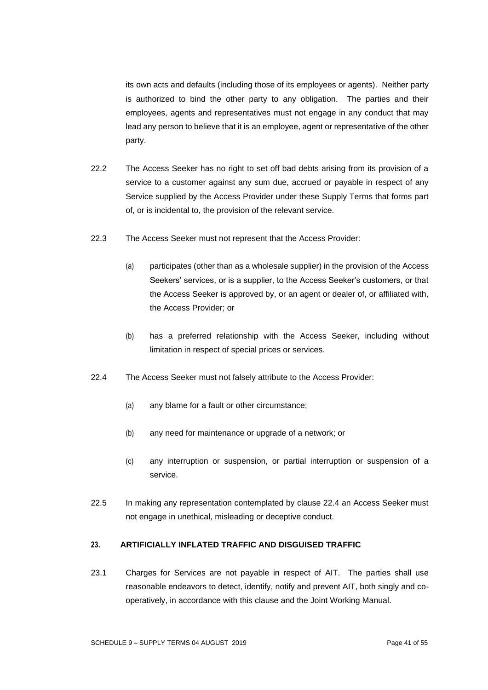its own acts and defaults (including those of its employees or agents). Neither party is authorized to bind the other party to any obligation. The parties and their employees, agents and representatives must not engage in any conduct that may lead any person to believe that it is an employee, agent or representative of the other party.

- 22.2 The Access Seeker has no right to set off bad debts arising from its provision of a service to a customer against any sum due, accrued or payable in respect of any Service supplied by the Access Provider under these Supply Terms that forms part of, or is incidental to, the provision of the relevant service.
- 22.3 The Access Seeker must not represent that the Access Provider:
	- (a) participates (other than as a wholesale supplier) in the provision of the Access Seekers' services, or is a supplier, to the Access Seeker's customers, or that the Access Seeker is approved by, or an agent or dealer of, or affiliated with, the Access Provider; or
	- (b) has a preferred relationship with the Access Seeker, including without limitation in respect of special prices or services.
- 22.4 The Access Seeker must not falsely attribute to the Access Provider:
	- (a) any blame for a fault or other circumstance;
	- (b) any need for maintenance or upgrade of a network; or
	- (c) any interruption or suspension, or partial interruption or suspension of a service.
- 22.5 In making any representation contemplated by clause 22.4 an Access Seeker must not engage in unethical, misleading or deceptive conduct.

# **23. ARTIFICIALLY INFLATED TRAFFIC AND DISGUISED TRAFFIC**

23.1 Charges for Services are not payable in respect of AIT. The parties shall use reasonable endeavors to detect, identify, notify and prevent AIT, both singly and cooperatively, in accordance with this clause and the Joint Working Manual.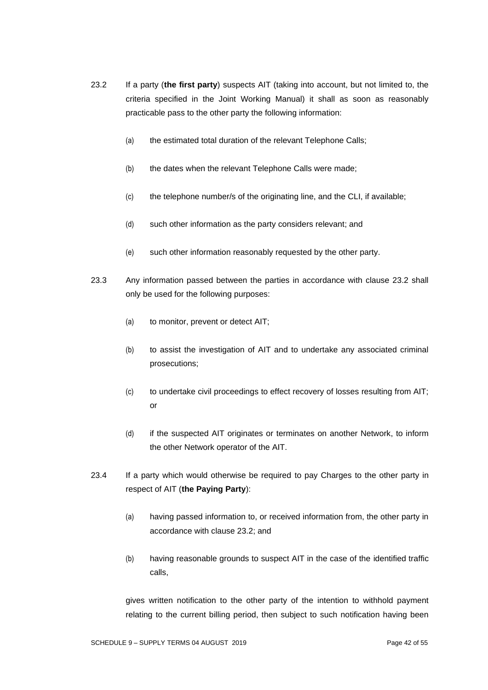- 23.2 If a party (**the first party**) suspects AIT (taking into account, but not limited to, the criteria specified in the Joint Working Manual) it shall as soon as reasonably practicable pass to the other party the following information:
	- (a) the estimated total duration of the relevant Telephone Calls;
	- (b) the dates when the relevant Telephone Calls were made;
	- (c) the telephone number/s of the originating line, and the CLI, if available;
	- (d) such other information as the party considers relevant; and
	- (e) such other information reasonably requested by the other party.
- 23.3 Any information passed between the parties in accordance with clause 23.2 shall only be used for the following purposes:
	- (a) to monitor, prevent or detect AIT;
	- (b) to assist the investigation of AIT and to undertake any associated criminal prosecutions;
	- (c) to undertake civil proceedings to effect recovery of losses resulting from AIT; or
	- (d) if the suspected AIT originates or terminates on another Network, to inform the other Network operator of the AIT.
- 23.4 If a party which would otherwise be required to pay Charges to the other party in respect of AIT (**the Paying Party**):
	- (a) having passed information to, or received information from, the other party in accordance with clause 23.2; and
	- (b) having reasonable grounds to suspect AIT in the case of the identified traffic calls,

gives written notification to the other party of the intention to withhold payment relating to the current billing period, then subject to such notification having been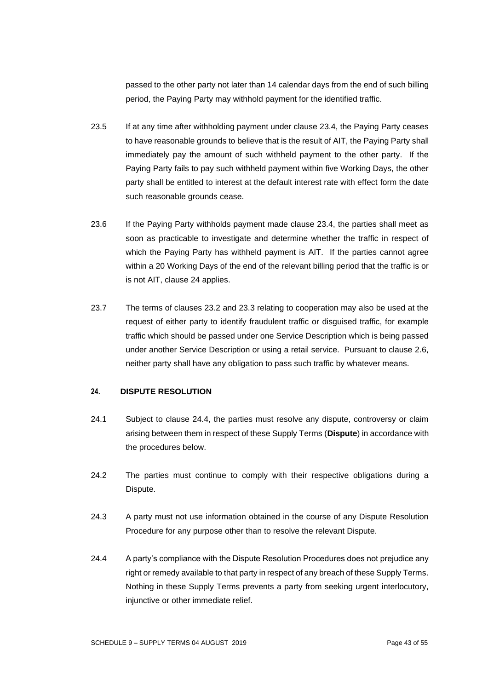passed to the other party not later than 14 calendar days from the end of such billing period, the Paying Party may withhold payment for the identified traffic.

- 23.5 If at any time after withholding payment under clause 23.4, the Paying Party ceases to have reasonable grounds to believe that is the result of AIT, the Paying Party shall immediately pay the amount of such withheld payment to the other party. If the Paying Party fails to pay such withheld payment within five Working Days, the other party shall be entitled to interest at the default interest rate with effect form the date such reasonable grounds cease.
- 23.6 If the Paying Party withholds payment made clause 23.4, the parties shall meet as soon as practicable to investigate and determine whether the traffic in respect of which the Paying Party has withheld payment is AIT. If the parties cannot agree within a 20 Working Days of the end of the relevant billing period that the traffic is or is not AIT, clause 24 applies.
- 23.7 The terms of clauses 23.2 and 23.3 relating to cooperation may also be used at the request of either party to identify fraudulent traffic or disguised traffic, for example traffic which should be passed under one Service Description which is being passed under another Service Description or using a retail service. Pursuant to clause 2.6, neither party shall have any obligation to pass such traffic by whatever means.

## **24. DISPUTE RESOLUTION**

- 24.1 Subject to clause 24.4, the parties must resolve any dispute, controversy or claim arising between them in respect of these Supply Terms (**Dispute**) in accordance with the procedures below.
- 24.2 The parties must continue to comply with their respective obligations during a Dispute.
- 24.3 A party must not use information obtained in the course of any Dispute Resolution Procedure for any purpose other than to resolve the relevant Dispute.
- 24.4 A party's compliance with the Dispute Resolution Procedures does not prejudice any right or remedy available to that party in respect of any breach of these Supply Terms. Nothing in these Supply Terms prevents a party from seeking urgent interlocutory, injunctive or other immediate relief.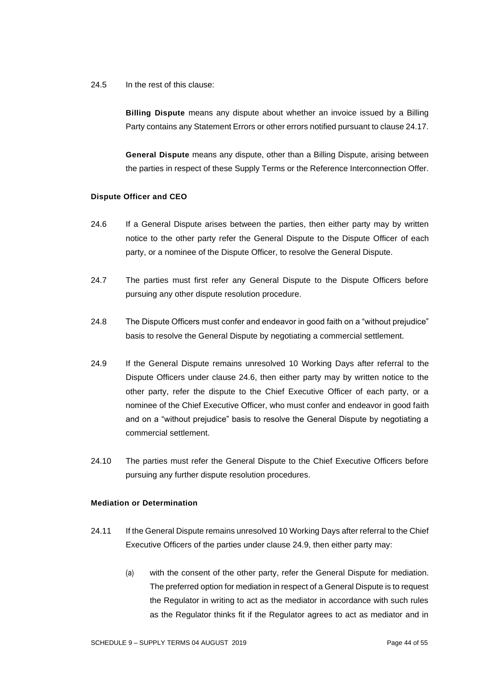24.5 In the rest of this clause:

**Billing Dispute** means any dispute about whether an invoice issued by a Billing Party contains any Statement Errors or other errors notified pursuant to clause 24.17.

**General Dispute** means any dispute, other than a Billing Dispute, arising between the parties in respect of these Supply Terms or the Reference Interconnection Offer.

### **Dispute Officer and CEO**

- 24.6 If a General Dispute arises between the parties, then either party may by written notice to the other party refer the General Dispute to the Dispute Officer of each party, or a nominee of the Dispute Officer, to resolve the General Dispute.
- 24.7 The parties must first refer any General Dispute to the Dispute Officers before pursuing any other dispute resolution procedure.
- 24.8 The Dispute Officers must confer and endeavor in good faith on a "without prejudice" basis to resolve the General Dispute by negotiating a commercial settlement.
- 24.9 If the General Dispute remains unresolved 10 Working Days after referral to the Dispute Officers under clause 24.6, then either party may by written notice to the other party, refer the dispute to the Chief Executive Officer of each party, or a nominee of the Chief Executive Officer, who must confer and endeavor in good faith and on a "without prejudice" basis to resolve the General Dispute by negotiating a commercial settlement.
- 24.10 The parties must refer the General Dispute to the Chief Executive Officers before pursuing any further dispute resolution procedures.

#### **Mediation or Determination**

- 24.11 If the General Dispute remains unresolved 10 Working Days after referral to the Chief Executive Officers of the parties under clause 24.9, then either party may:
	- (a) with the consent of the other party, refer the General Dispute for mediation. The preferred option for mediation in respect of a General Dispute is to request the Regulator in writing to act as the mediator in accordance with such rules as the Regulator thinks fit if the Regulator agrees to act as mediator and in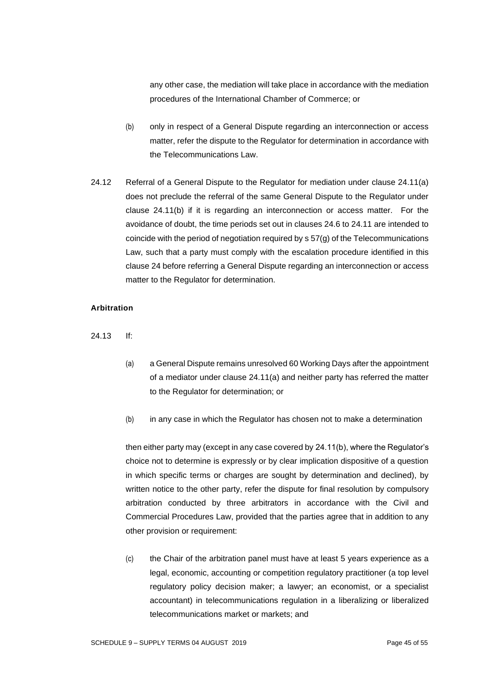any other case, the mediation will take place in accordance with the mediation procedures of the International Chamber of Commerce; or

- (b) only in respect of a General Dispute regarding an interconnection or access matter, refer the dispute to the Regulator for determination in accordance with the Telecommunications Law.
- 24.12 Referral of a General Dispute to the Regulator for mediation under clause 24.11(a) does not preclude the referral of the same General Dispute to the Regulator under clause 24.11(b) if it is regarding an interconnection or access matter. For the avoidance of doubt, the time periods set out in clauses 24.6 to 24.11 are intended to coincide with the period of negotiation required by s 57(g) of the Telecommunications Law, such that a party must comply with the escalation procedure identified in this clause 24 before referring a General Dispute regarding an interconnection or access matter to the Regulator for determination.

#### **Arbitration**

- 24.13 If:
	- (a) a General Dispute remains unresolved 60 Working Days after the appointment of a mediator under clause 24.11(a) and neither party has referred the matter to the Regulator for determination; or
	- (b) in any case in which the Regulator has chosen not to make a determination

then either party may (except in any case covered by 24.11(b), where the Regulator's choice not to determine is expressly or by clear implication dispositive of a question in which specific terms or charges are sought by determination and declined), by written notice to the other party, refer the dispute for final resolution by compulsory arbitration conducted by three arbitrators in accordance with the Civil and Commercial Procedures Law, provided that the parties agree that in addition to any other provision or requirement:

(c) the Chair of the arbitration panel must have at least 5 years experience as a legal, economic, accounting or competition regulatory practitioner (a top level regulatory policy decision maker; a lawyer; an economist, or a specialist accountant) in telecommunications regulation in a liberalizing or liberalized telecommunications market or markets; and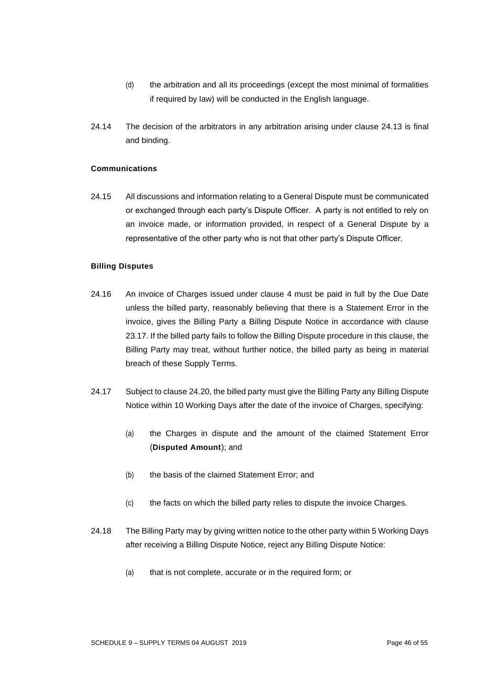- (d) the arbitration and all its proceedings (except the most minimal of formalities if required by law) will be conducted in the English language.
- 24.14 The decision of the arbitrators in any arbitration arising under clause 24.13 is final and binding.

## **Communications**

24.15 All discussions and information relating to a General Dispute must be communicated or exchanged through each party's Dispute Officer. A party is not entitled to rely on an invoice made, or information provided, in respect of a General Dispute by a representative of the other party who is not that other party's Dispute Officer.

#### **Billing Disputes**

- 24.16 An invoice of Charges issued under clause 4 must be paid in full by the Due Date unless the billed party, reasonably believing that there is a Statement Error in the invoice, gives the Billing Party a Billing Dispute Notice in accordance with clause 23.17. If the billed party fails to follow the Billing Dispute procedure in this clause, the Billing Party may treat, without further notice, the billed party as being in material breach of these Supply Terms.
- 24.17 Subject to clause 24.20, the billed party must give the Billing Party any Billing Dispute Notice within 10 Working Days after the date of the invoice of Charges, specifying:
	- (a) the Charges in dispute and the amount of the claimed Statement Error (**Disputed Amount**); and
	- (b) the basis of the claimed Statement Error; and
	- (c) the facts on which the billed party relies to dispute the invoice Charges.
- 24.18 The Billing Party may by giving written notice to the other party within 5 Working Days after receiving a Billing Dispute Notice, reject any Billing Dispute Notice:
	- (a) that is not complete, accurate or in the required form; or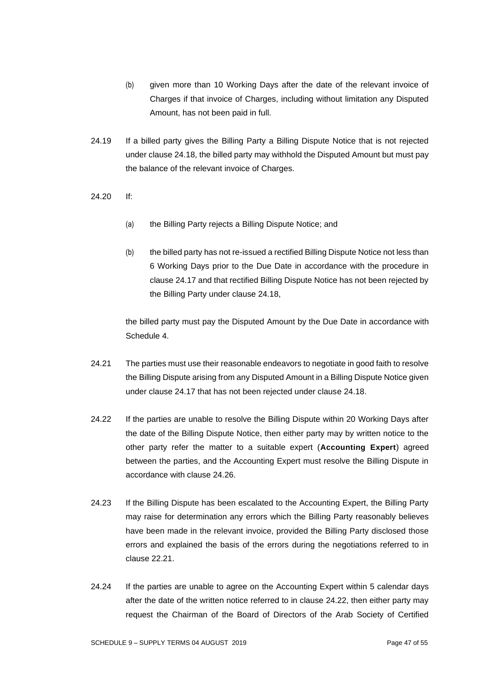- (b) given more than 10 Working Days after the date of the relevant invoice of Charges if that invoice of Charges, including without limitation any Disputed Amount, has not been paid in full.
- 24.19 If a billed party gives the Billing Party a Billing Dispute Notice that is not rejected under clause 24.18, the billed party may withhold the Disputed Amount but must pay the balance of the relevant invoice of Charges.
- 24.20 If:
	- (a) the Billing Party rejects a Billing Dispute Notice; and
	- (b) the billed party has not re-issued a rectified Billing Dispute Notice not less than 6 Working Days prior to the Due Date in accordance with the procedure in clause 24.17 and that rectified Billing Dispute Notice has not been rejected by the Billing Party under clause 24.18,

the billed party must pay the Disputed Amount by the Due Date in accordance with Schedule 4.

- 24.21 The parties must use their reasonable endeavors to negotiate in good faith to resolve the Billing Dispute arising from any Disputed Amount in a Billing Dispute Notice given under clause 24.17 that has not been rejected under clause 24.18.
- 24.22 If the parties are unable to resolve the Billing Dispute within 20 Working Days after the date of the Billing Dispute Notice, then either party may by written notice to the other party refer the matter to a suitable expert (**Accounting Expert**) agreed between the parties, and the Accounting Expert must resolve the Billing Dispute in accordance with clause 24.26.
- 24.23 If the Billing Dispute has been escalated to the Accounting Expert, the Billing Party may raise for determination any errors which the Billing Party reasonably believes have been made in the relevant invoice, provided the Billing Party disclosed those errors and explained the basis of the errors during the negotiations referred to in clause 22.21.
- 24.24 If the parties are unable to agree on the Accounting Expert within 5 calendar days after the date of the written notice referred to in clause 24.22, then either party may request the Chairman of the Board of Directors of the Arab Society of Certified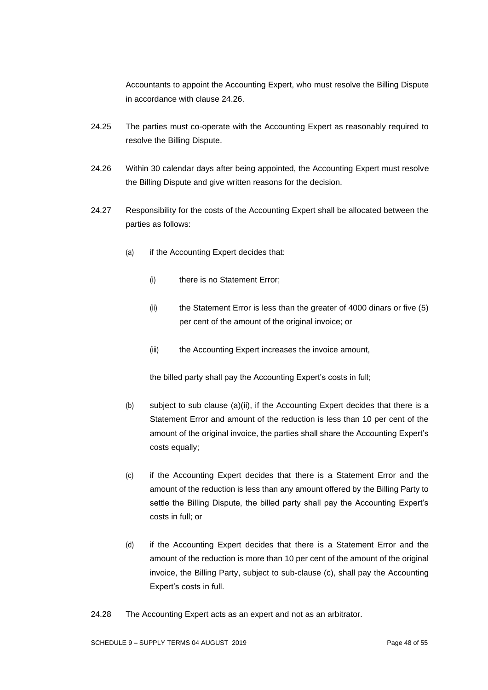Accountants to appoint the Accounting Expert, who must resolve the Billing Dispute in accordance with clause 24.26.

- 24.25 The parties must co-operate with the Accounting Expert as reasonably required to resolve the Billing Dispute.
- 24.26 Within 30 calendar days after being appointed, the Accounting Expert must resolve the Billing Dispute and give written reasons for the decision.
- 24.27 Responsibility for the costs of the Accounting Expert shall be allocated between the parties as follows:
	- (a) if the Accounting Expert decides that:
		- (i) there is no Statement Error;
		- (ii) the Statement Error is less than the greater of 4000 dinars or five (5) per cent of the amount of the original invoice; or
		- (iii) the Accounting Expert increases the invoice amount,

the billed party shall pay the Accounting Expert's costs in full;

- (b) subject to sub clause (a)(ii), if the Accounting Expert decides that there is a Statement Error and amount of the reduction is less than 10 per cent of the amount of the original invoice, the parties shall share the Accounting Expert's costs equally;
- (c) if the Accounting Expert decides that there is a Statement Error and the amount of the reduction is less than any amount offered by the Billing Party to settle the Billing Dispute, the billed party shall pay the Accounting Expert's costs in full; or
- (d) if the Accounting Expert decides that there is a Statement Error and the amount of the reduction is more than 10 per cent of the amount of the original invoice, the Billing Party, subject to sub-clause (c), shall pay the Accounting Expert's costs in full.
- 24.28 The Accounting Expert acts as an expert and not as an arbitrator.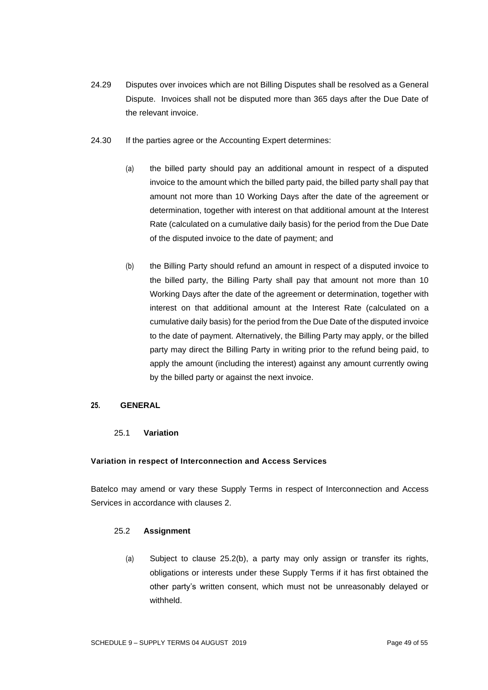- 24.29 Disputes over invoices which are not Billing Disputes shall be resolved as a General Dispute. Invoices shall not be disputed more than 365 days after the Due Date of the relevant invoice.
- 24.30 If the parties agree or the Accounting Expert determines:
	- (a) the billed party should pay an additional amount in respect of a disputed invoice to the amount which the billed party paid, the billed party shall pay that amount not more than 10 Working Days after the date of the agreement or determination, together with interest on that additional amount at the Interest Rate (calculated on a cumulative daily basis) for the period from the Due Date of the disputed invoice to the date of payment; and
	- (b) the Billing Party should refund an amount in respect of a disputed invoice to the billed party, the Billing Party shall pay that amount not more than 10 Working Days after the date of the agreement or determination, together with interest on that additional amount at the Interest Rate (calculated on a cumulative daily basis) for the period from the Due Date of the disputed invoice to the date of payment. Alternatively, the Billing Party may apply, or the billed party may direct the Billing Party in writing prior to the refund being paid, to apply the amount (including the interest) against any amount currently owing by the billed party or against the next invoice.

# **25. GENERAL**

# 25.1 **Variation**

## **Variation in respect of Interconnection and Access Services**

Batelco may amend or vary these Supply Terms in respect of Interconnection and Access Services in accordance with clauses 2.

## 25.2 **Assignment**

(a) Subject to clause 25.2(b), a party may only assign or transfer its rights, obligations or interests under these Supply Terms if it has first obtained the other party's written consent, which must not be unreasonably delayed or withheld.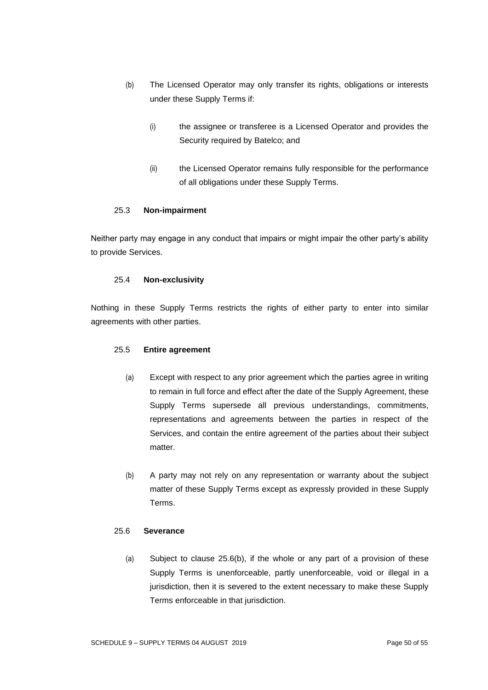- (b) The Licensed Operator may only transfer its rights, obligations or interests under these Supply Terms if:
	- (i) the assignee or transferee is a Licensed Operator and provides the Security required by Batelco; and
	- (ii) the Licensed Operator remains fully responsible for the performance of all obligations under these Supply Terms.

## 25.3 **Non-impairment**

Neither party may engage in any conduct that impairs or might impair the other party's ability to provide Services.

### 25.4 **Non-exclusivity**

Nothing in these Supply Terms restricts the rights of either party to enter into similar agreements with other parties.

## 25.5 **Entire agreement**

- (a) Except with respect to any prior agreement which the parties agree in writing to remain in full force and effect after the date of the Supply Agreement, these Supply Terms supersede all previous understandings, commitments, representations and agreements between the parties in respect of the Services, and contain the entire agreement of the parties about their subject matter.
- (b) A party may not rely on any representation or warranty about the subject matter of these Supply Terms except as expressly provided in these Supply Terms.

## 25.6 **Severance**

(a) Subject to clause 25.6(b), if the whole or any part of a provision of these Supply Terms is unenforceable, partly unenforceable, void or illegal in a jurisdiction, then it is severed to the extent necessary to make these Supply Terms enforceable in that jurisdiction.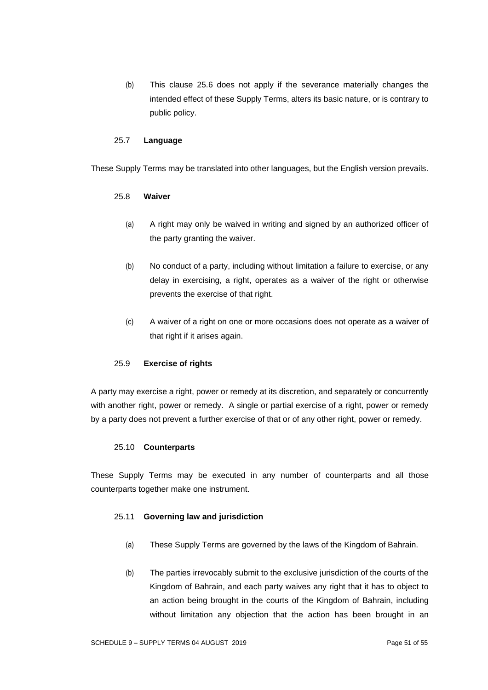(b) This clause 25.6 does not apply if the severance materially changes the intended effect of these Supply Terms, alters its basic nature, or is contrary to public policy.

## 25.7 **Language**

These Supply Terms may be translated into other languages, but the English version prevails.

### 25.8 **Waiver**

- (a) A right may only be waived in writing and signed by an authorized officer of the party granting the waiver.
- (b) No conduct of a party, including without limitation a failure to exercise, or any delay in exercising, a right, operates as a waiver of the right or otherwise prevents the exercise of that right.
- (c) A waiver of a right on one or more occasions does not operate as a waiver of that right if it arises again.

## 25.9 **Exercise of rights**

A party may exercise a right, power or remedy at its discretion, and separately or concurrently with another right, power or remedy. A single or partial exercise of a right, power or remedy by a party does not prevent a further exercise of that or of any other right, power or remedy.

#### 25.10 **Counterparts**

These Supply Terms may be executed in any number of counterparts and all those counterparts together make one instrument.

## 25.11 **Governing law and jurisdiction**

- (a) These Supply Terms are governed by the laws of the Kingdom of Bahrain.
- (b) The parties irrevocably submit to the exclusive jurisdiction of the courts of the Kingdom of Bahrain, and each party waives any right that it has to object to an action being brought in the courts of the Kingdom of Bahrain, including without limitation any objection that the action has been brought in an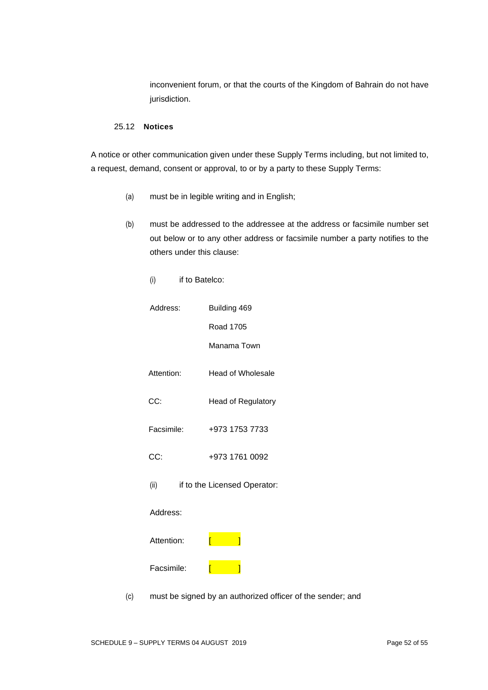inconvenient forum, or that the courts of the Kingdom of Bahrain do not have jurisdiction.

#### 25.12 **Notices**

A notice or other communication given under these Supply Terms including, but not limited to, a request, demand, consent or approval, to or by a party to these Supply Terms:

(a) must be in legible writing and in English;

(i) if to Batelco:

- (b) must be addressed to the addressee at the address or facsimile number set out below or to any other address or facsimile number a party notifies to the others under this clause:
- Address: Building 469 Road 1705 Manama Town Attention: Head of Wholesale CC: Head of Regulatory Facsimile: +973 1753 7733 CC: +973 1761 0092 (ii) if to the Licensed Operator: Address: Attention: [ ] Facsimile: [ <mark>[ ]</mark> (c) must be signed by an authorized officer of the sender; and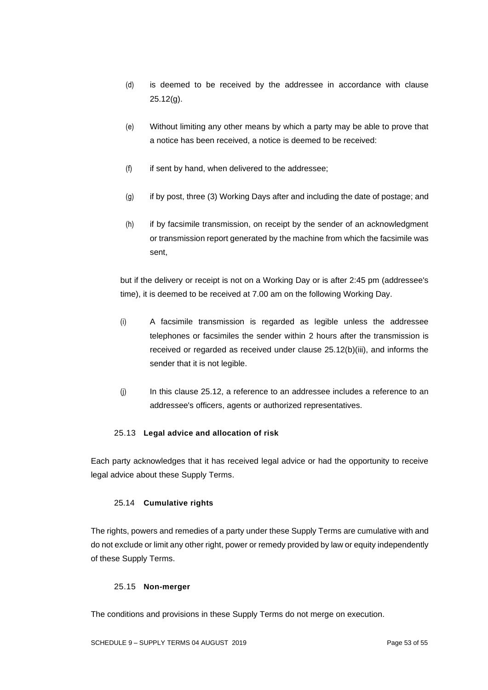- (d) is deemed to be received by the addressee in accordance with clause 25.12(g).
- (e) Without limiting any other means by which a party may be able to prove that a notice has been received, a notice is deemed to be received:
- (f) if sent by hand, when delivered to the addressee;
- (g) if by post, three (3) Working Days after and including the date of postage; and
- (h) if by facsimile transmission, on receipt by the sender of an acknowledgment or transmission report generated by the machine from which the facsimile was sent,

but if the delivery or receipt is not on a Working Day or is after 2:45 pm (addressee's time), it is deemed to be received at 7.00 am on the following Working Day.

- (i) A facsimile transmission is regarded as legible unless the addressee telephones or facsimiles the sender within 2 hours after the transmission is received or regarded as received under clause 25.12(b)(iii), and informs the sender that it is not legible.
- (j) In this clause 25.12, a reference to an addressee includes a reference to an addressee's officers, agents or authorized representatives.

# 25.13 **Legal advice and allocation of risk**

Each party acknowledges that it has received legal advice or had the opportunity to receive legal advice about these Supply Terms.

## 25.14 **Cumulative rights**

The rights, powers and remedies of a party under these Supply Terms are cumulative with and do not exclude or limit any other right, power or remedy provided by law or equity independently of these Supply Terms.

## 25.15 **Non-merger**

The conditions and provisions in these Supply Terms do not merge on execution.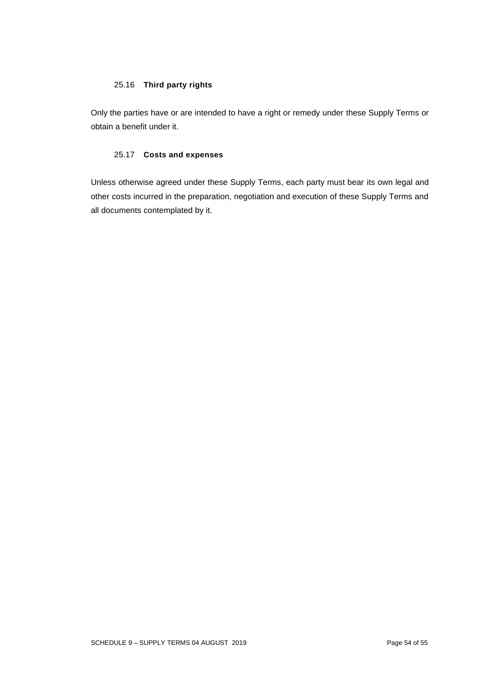## 25.16 **Third party rights**

Only the parties have or are intended to have a right or remedy under these Supply Terms or obtain a benefit under it.

## 25.17 **Costs and expenses**

Unless otherwise agreed under these Supply Terms, each party must bear its own legal and other costs incurred in the preparation, negotiation and execution of these Supply Terms and all documents contemplated by it.